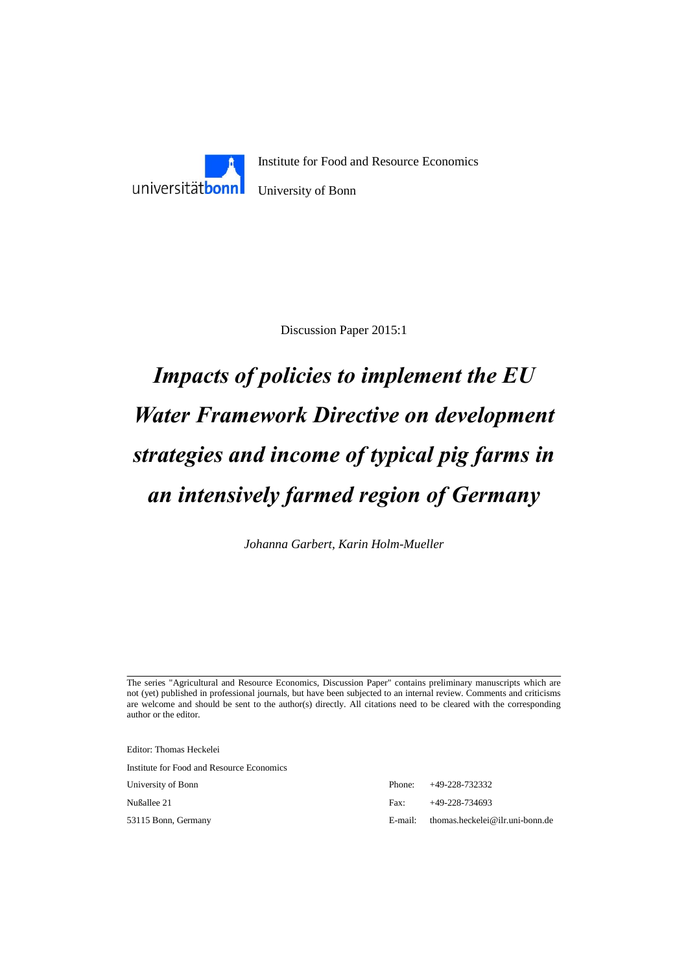

Discussion Paper 2015:1

# *Impacts of policies to implement the EU Water Framework Directive on development strategies and income of typical pig farms in an intensively farmed region of Germany*

*Johanna Garbert, Karin Holm-Mueller*

The series "Agricultural and Resource Economics, Discussion Paper" contains preliminary manuscripts which are not (yet) published in professional journals, but have been subjected to an internal review. Comments and criticisms are welcome and should be sent to the author(s) directly. All citations need to be cleared with the corresponding author or the editor.

Editor: Thomas Heckelei

Institute for Food and Resource Economics

University of Bonn

Nußallee 21

53115 Bonn, Germany

|              | $E$ -mail: thomas.heckelei@ilr.uni-bonn.de |
|--------------|--------------------------------------------|
| $\text{Fax}$ | $+49-228-734693$                           |
|              | Phone: $+49-228-732332$                    |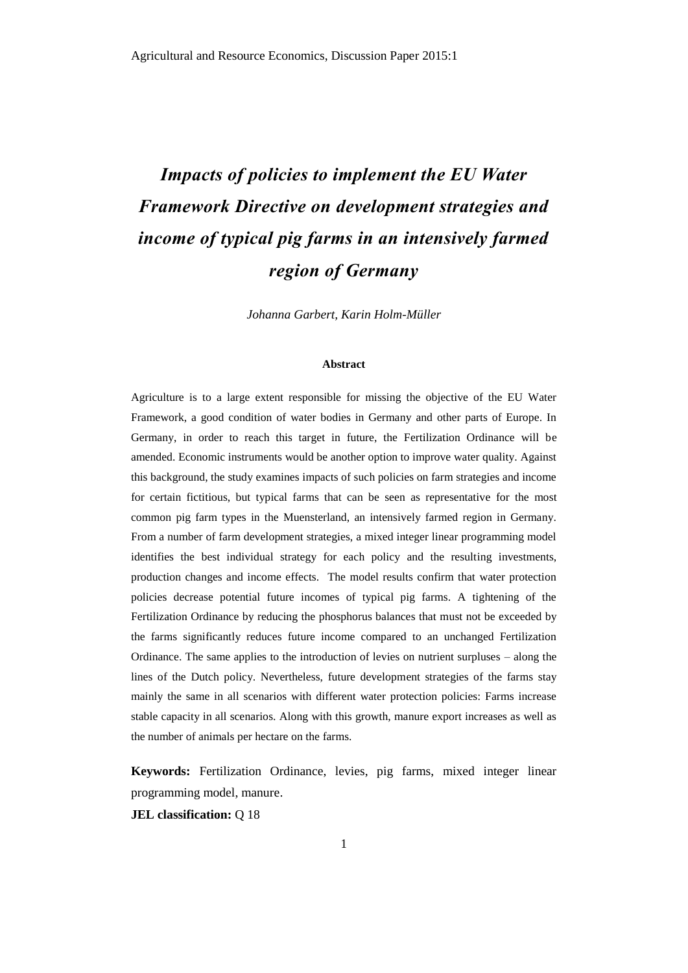# *Impacts of policies to implement the EU Water Framework Directive on development strategies and income of typical pig farms in an intensively farmed region of Germany*

*Johanna Garbert, Karin Holm-Müller*

# **Abstract**

Agriculture is to a large extent responsible for missing the objective of the EU Water Framework, a good condition of water bodies in Germany and other parts of Europe. In Germany, in order to reach this target in future, the Fertilization Ordinance will be amended. Economic instruments would be another option to improve water quality. Against this background, the study examines impacts of such policies on farm strategies and income for certain fictitious, but typical farms that can be seen as representative for the most common pig farm types in the Muensterland, an intensively farmed region in Germany. From a number of farm development strategies, a mixed integer linear programming model identifies the best individual strategy for each policy and the resulting investments, production changes and income effects. The model results confirm that water protection policies decrease potential future incomes of typical pig farms. A tightening of the Fertilization Ordinance by reducing the phosphorus balances that must not be exceeded by the farms significantly reduces future income compared to an unchanged Fertilization Ordinance. The same applies to the introduction of levies on nutrient surpluses – along the lines of the Dutch policy. Nevertheless, future development strategies of the farms stay mainly the same in all scenarios with different water protection policies: Farms increase stable capacity in all scenarios. Along with this growth, manure export increases as well as the number of animals per hectare on the farms.

**Keywords:** Fertilization Ordinance, levies, pig farms, mixed integer linear programming model, manure.

**JEL classification:** Q 18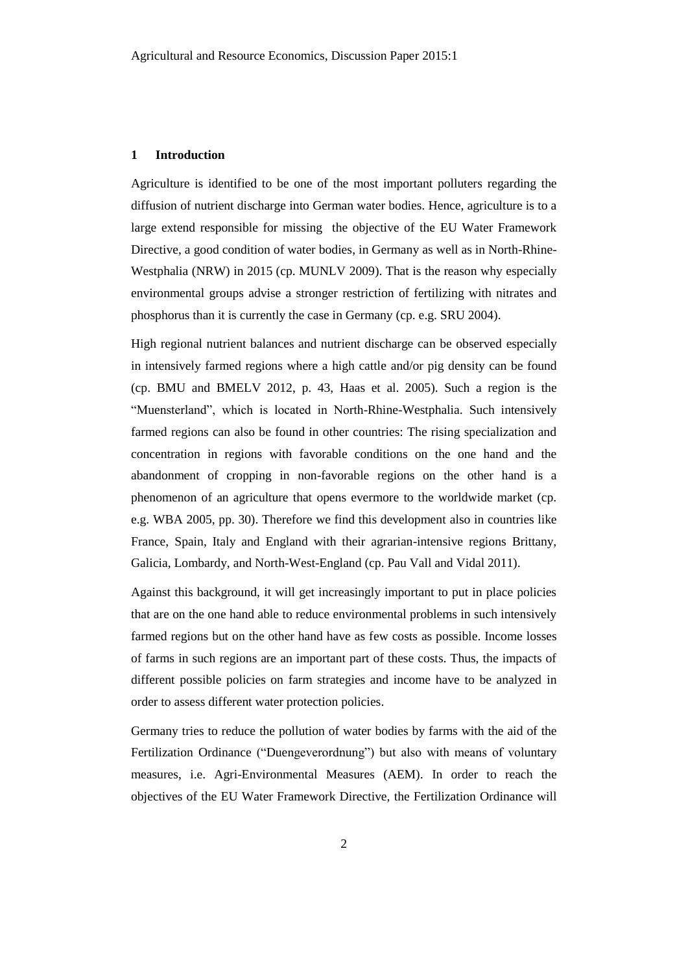#### **1 Introduction**

Agriculture is identified to be one of the most important polluters regarding the diffusion of nutrient discharge into German water bodies. Hence, agriculture is to a large extend responsible for missing the objective of the EU Water Framework Directive, a good condition of water bodies, in Germany as well as in North-Rhine-Westphalia (NRW) in 2015 (cp. MUNLV 2009). That is the reason why especially environmental groups advise a stronger restriction of fertilizing with nitrates and phosphorus than it is currently the case in Germany (cp. e.g. SRU 2004).

High regional nutrient balances and nutrient discharge can be observed especially in intensively farmed regions where a high cattle and/or pig density can be found (cp. BMU and BMELV 2012, p. 43, Haas et al. 2005). Such a region is the "Muensterland", which is located in North-Rhine-Westphalia. Such intensively farmed regions can also be found in other countries: The rising specialization and concentration in regions with favorable conditions on the one hand and the abandonment of cropping in non-favorable regions on the other hand is a phenomenon of an agriculture that opens evermore to the worldwide market (cp. e.g. WBA 2005, pp. 30). Therefore we find this development also in countries like France, Spain, Italy and England with their agrarian-intensive regions Brittany, Galicia, Lombardy, and North-West-England (cp. Pau Vall and Vidal 2011).

Against this background, it will get increasingly important to put in place policies that are on the one hand able to reduce environmental problems in such intensively farmed regions but on the other hand have as few costs as possible. Income losses of farms in such regions are an important part of these costs. Thus, the impacts of different possible policies on farm strategies and income have to be analyzed in order to assess different water protection policies.

Germany tries to reduce the pollution of water bodies by farms with the aid of the Fertilization Ordinance ("Duengeverordnung") but also with means of voluntary measures, i.e. Agri-Environmental Measures (AEM). In order to reach the objectives of the EU Water Framework Directive, the Fertilization Ordinance will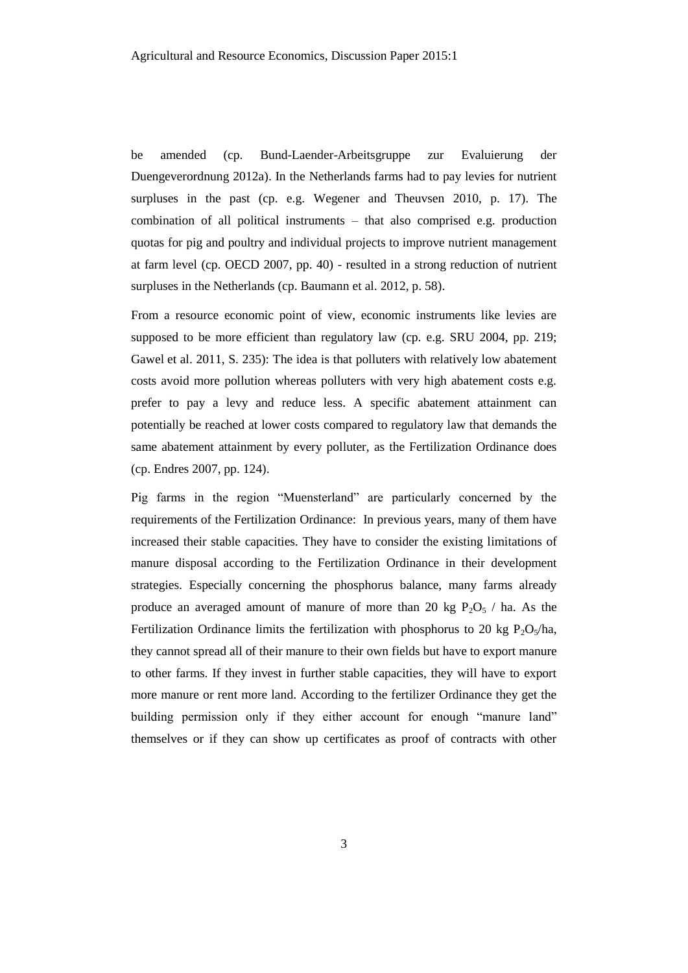be amended (cp. Bund-Laender-Arbeitsgruppe zur Evaluierung der Duengeverordnung 2012a). In the Netherlands farms had to pay levies for nutrient surpluses in the past (cp. e.g. Wegener and Theuvsen 2010, p. 17). The combination of all political instruments – that also comprised e.g. production quotas for pig and poultry and individual projects to improve nutrient management at farm level (cp. OECD 2007, pp. 40) - resulted in a strong reduction of nutrient surpluses in the Netherlands (cp. Baumann et al. 2012, p. 58).

From a resource economic point of view, economic instruments like levies are supposed to be more efficient than regulatory law (cp. e.g. SRU 2004, pp. 219; Gawel et al. 2011, S. 235): The idea is that polluters with relatively low abatement costs avoid more pollution whereas polluters with very high abatement costs e.g. prefer to pay a levy and reduce less. A specific abatement attainment can potentially be reached at lower costs compared to regulatory law that demands the same abatement attainment by every polluter, as the Fertilization Ordinance does (cp. Endres 2007, pp. 124).

Pig farms in the region "Muensterland" are particularly concerned by the requirements of the Fertilization Ordinance: In previous years, many of them have increased their stable capacities. They have to consider the existing limitations of manure disposal according to the Fertilization Ordinance in their development strategies. Especially concerning the phosphorus balance, many farms already produce an averaged amount of manure of more than 20 kg  $P_2O_5$  / ha. As the Fertilization Ordinance limits the fertilization with phosphorus to 20 kg  $P_2O_5/ha$ , they cannot spread all of their manure to their own fields but have to export manure to other farms. If they invest in further stable capacities, they will have to export more manure or rent more land. According to the fertilizer Ordinance they get the building permission only if they either account for enough "manure land" themselves or if they can show up certificates as proof of contracts with other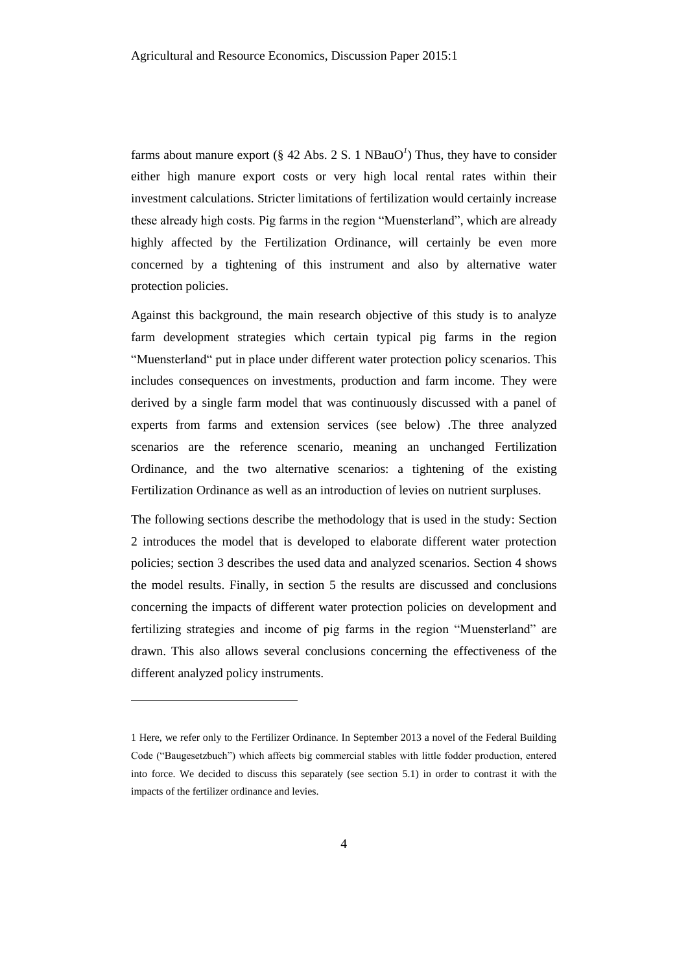farms about manure export (§ 42 Abs. 2 S. 1  $NBauO<sup>1</sup>$ ) Thus, they have to consider either high manure export costs or very high local rental rates within their investment calculations. Stricter limitations of fertilization would certainly increase these already high costs. Pig farms in the region "Muensterland", which are already highly affected by the Fertilization Ordinance, will certainly be even more concerned by a tightening of this instrument and also by alternative water protection policies.

Against this background, the main research objective of this study is to analyze farm development strategies which certain typical pig farms in the region "Muensterland" put in place under different water protection policy scenarios. This includes consequences on investments, production and farm income. They were derived by a single farm model that was continuously discussed with a panel of experts from farms and extension services (see below) .The three analyzed scenarios are the reference scenario, meaning an unchanged Fertilization Ordinance, and the two alternative scenarios: a tightening of the existing Fertilization Ordinance as well as an introduction of levies on nutrient surpluses.

The following sections describe the methodology that is used in the study: Section 2 introduces the model that is developed to elaborate different water protection policies; section 3 describes the used data and analyzed scenarios. Section 4 shows the model results. Finally, in section 5 the results are discussed and conclusions concerning the impacts of different water protection policies on development and fertilizing strategies and income of pig farms in the region "Muensterland" are drawn. This also allows several conclusions concerning the effectiveness of the different analyzed policy instruments.

l

<sup>1</sup> Here, we refer only to the Fertilizer Ordinance. In September 2013 a novel of the Federal Building Code ("Baugesetzbuch") which affects big commercial stables with little fodder production, entered into force. We decided to discuss this separately (see section 5.1) in order to contrast it with the impacts of the fertilizer ordinance and levies.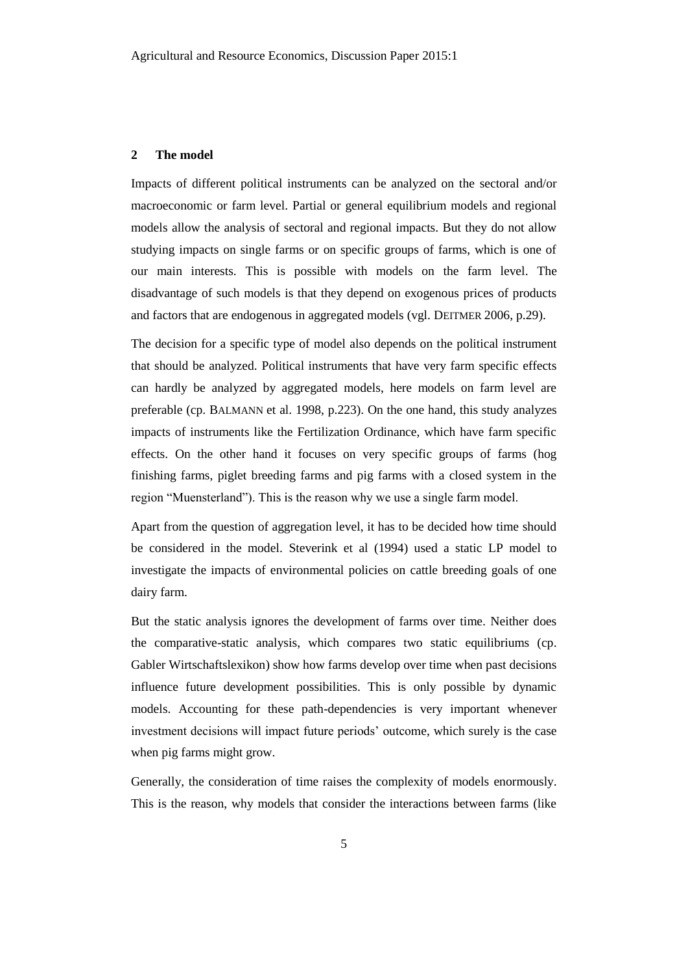#### **2 The model**

Impacts of different political instruments can be analyzed on the sectoral and/or macroeconomic or farm level. Partial or general equilibrium models and regional models allow the analysis of sectoral and regional impacts. But they do not allow studying impacts on single farms or on specific groups of farms, which is one of our main interests. This is possible with models on the farm level. The disadvantage of such models is that they depend on exogenous prices of products and factors that are endogenous in aggregated models (vgl. DEITMER 2006, p.29).

The decision for a specific type of model also depends on the political instrument that should be analyzed. Political instruments that have very farm specific effects can hardly be analyzed by aggregated models, here models on farm level are preferable (cp. BALMANN et al. 1998, p.223). On the one hand, this study analyzes impacts of instruments like the Fertilization Ordinance, which have farm specific effects. On the other hand it focuses on very specific groups of farms (hog finishing farms, piglet breeding farms and pig farms with a closed system in the region "Muensterland"). This is the reason why we use a single farm model.

Apart from the question of aggregation level, it has to be decided how time should be considered in the model. Steverink et al (1994) used a static LP model to investigate the impacts of environmental policies on cattle breeding goals of one dairy farm.

But the static analysis ignores the development of farms over time. Neither does the comparative-static analysis, which compares two static equilibriums (cp. Gabler Wirtschaftslexikon) show how farms develop over time when past decisions influence future development possibilities. This is only possible by dynamic models. Accounting for these path-dependencies is very important whenever investment decisions will impact future periods' outcome, which surely is the case when pig farms might grow.

Generally, the consideration of time raises the complexity of models enormously. This is the reason, why models that consider the interactions between farms (like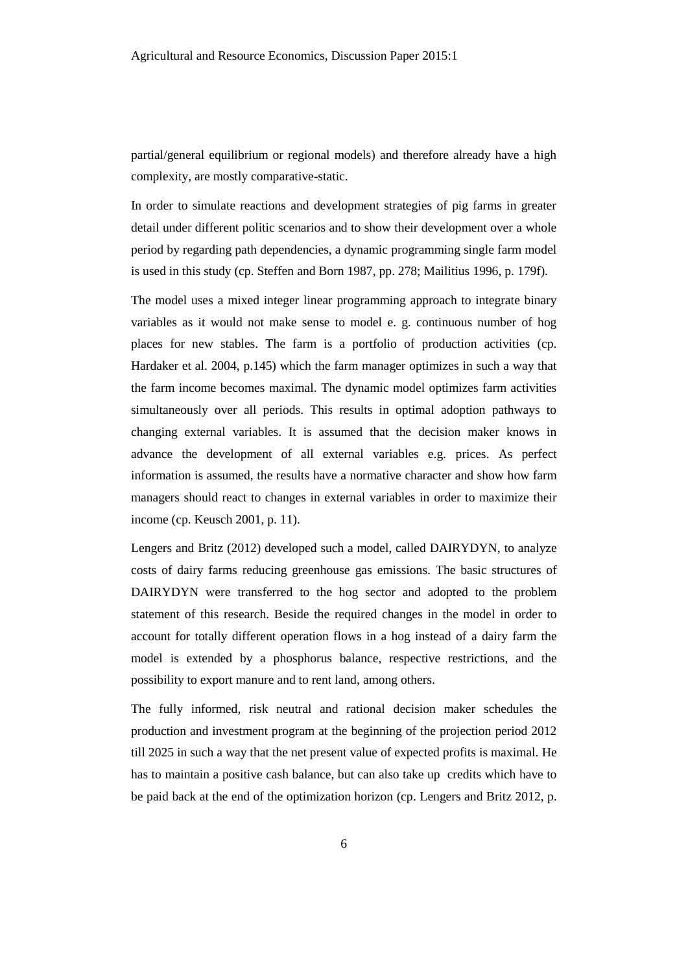partial/general equilibrium or regional models) and therefore already have a high complexity, are mostly comparative-static.

In order to simulate reactions and development strategies of pig farms in greater detail under different politic scenarios and to show their development over a whole period by regarding path dependencies, a dynamic programming single farm model is used in this study (cp. Steffen and Born 1987, pp. 278; Mailitius 1996, p. 179f).

The model uses a mixed integer linear programming approach to integrate binary variables as it would not make sense to model e. g. continuous number of hog places for new stables. The farm is a portfolio of production activities (cp. Hardaker et al. 2004, p.145) which the farm manager optimizes in such a way that the farm income becomes maximal. The dynamic model optimizes farm activities simultaneously over all periods. This results in optimal adoption pathways to changing external variables. It is assumed that the decision maker knows in advance the development of all external variables e.g. prices. As perfect information is assumed, the results have a normative character and show how farm managers should react to changes in external variables in order to maximize their income (cp. Keusch 2001, p. 11).

Lengers and Britz (2012) developed such a model, called DAIRYDYN, to analyze costs of dairy farms reducing greenhouse gas emissions. The basic structures of DAIRYDYN were transferred to the hog sector and adopted to the problem statement of this research. Beside the required changes in the model in order to account for totally different operation flows in a hog instead of a dairy farm the model is extended by a phosphorus balance, respective restrictions, and the possibility to export manure and to rent land, among others.

The fully informed, risk neutral and rational decision maker schedules the production and investment program at the beginning of the projection period 2012 till 2025 in such a way that the net present value of expected profits is maximal. He has to maintain a positive cash balance, but can also take up credits which have to be paid back at the end of the optimization horizon (cp. Lengers and Britz 2012, p.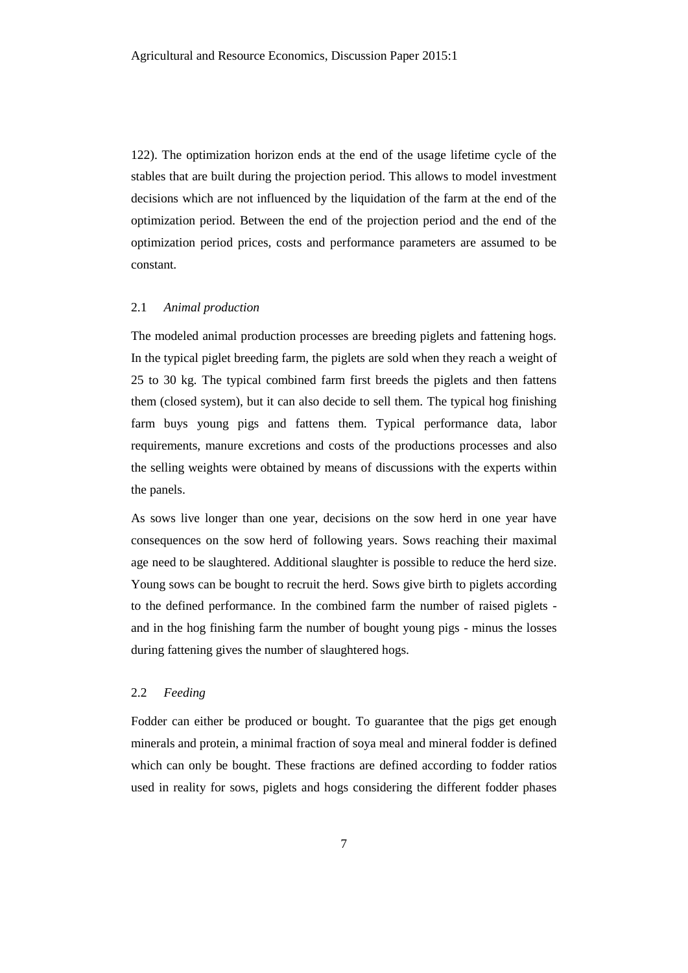122). The optimization horizon ends at the end of the usage lifetime cycle of the stables that are built during the projection period. This allows to model investment decisions which are not influenced by the liquidation of the farm at the end of the optimization period. Between the end of the projection period and the end of the optimization period prices, costs and performance parameters are assumed to be constant.

### 2.1 *Animal production*

The modeled animal production processes are breeding piglets and fattening hogs. In the typical piglet breeding farm, the piglets are sold when they reach a weight of 25 to 30 kg. The typical combined farm first breeds the piglets and then fattens them (closed system), but it can also decide to sell them. The typical hog finishing farm buys young pigs and fattens them. Typical performance data, labor requirements, manure excretions and costs of the productions processes and also the selling weights were obtained by means of discussions with the experts within the panels.

As sows live longer than one year, decisions on the sow herd in one year have consequences on the sow herd of following years. Sows reaching their maximal age need to be slaughtered. Additional slaughter is possible to reduce the herd size. Young sows can be bought to recruit the herd. Sows give birth to piglets according to the defined performance. In the combined farm the number of raised piglets and in the hog finishing farm the number of bought young pigs - minus the losses during fattening gives the number of slaughtered hogs.

# 2.2 *Feeding*

Fodder can either be produced or bought. To guarantee that the pigs get enough minerals and protein, a minimal fraction of soya meal and mineral fodder is defined which can only be bought. These fractions are defined according to fodder ratios used in reality for sows, piglets and hogs considering the different fodder phases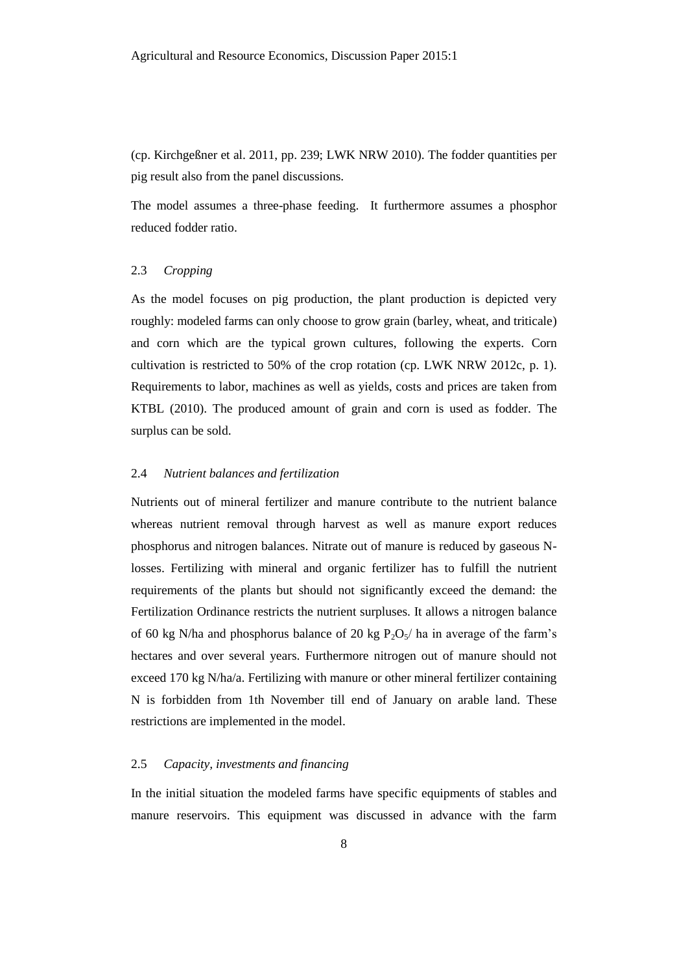(cp. Kirchgeßner et al. 2011, pp. 239; LWK NRW 2010). The fodder quantities per pig result also from the panel discussions.

The model assumes a three-phase feeding. It furthermore assumes a phosphor reduced fodder ratio.

# 2.3 *Cropping*

As the model focuses on pig production, the plant production is depicted very roughly: modeled farms can only choose to grow grain (barley, wheat, and triticale) and corn which are the typical grown cultures, following the experts. Corn cultivation is restricted to 50% of the crop rotation (cp. LWK NRW 2012c, p. 1). Requirements to labor, machines as well as yields, costs and prices are taken from KTBL (2010). The produced amount of grain and corn is used as fodder. The surplus can be sold.

# 2.4 *Nutrient balances and fertilization*

Nutrients out of mineral fertilizer and manure contribute to the nutrient balance whereas nutrient removal through harvest as well as manure export reduces phosphorus and nitrogen balances. Nitrate out of manure is reduced by gaseous Nlosses. Fertilizing with mineral and organic fertilizer has to fulfill the nutrient requirements of the plants but should not significantly exceed the demand: the Fertilization Ordinance restricts the nutrient surpluses. It allows a nitrogen balance of 60 kg N/ha and phosphorus balance of 20 kg  $P_2O_5/$  ha in average of the farm's hectares and over several years. Furthermore nitrogen out of manure should not exceed 170 kg N/ha/a. Fertilizing with manure or other mineral fertilizer containing N is forbidden from 1th November till end of January on arable land. These restrictions are implemented in the model.

# 2.5 *Capacity, investments and financing*

In the initial situation the modeled farms have specific equipments of stables and manure reservoirs. This equipment was discussed in advance with the farm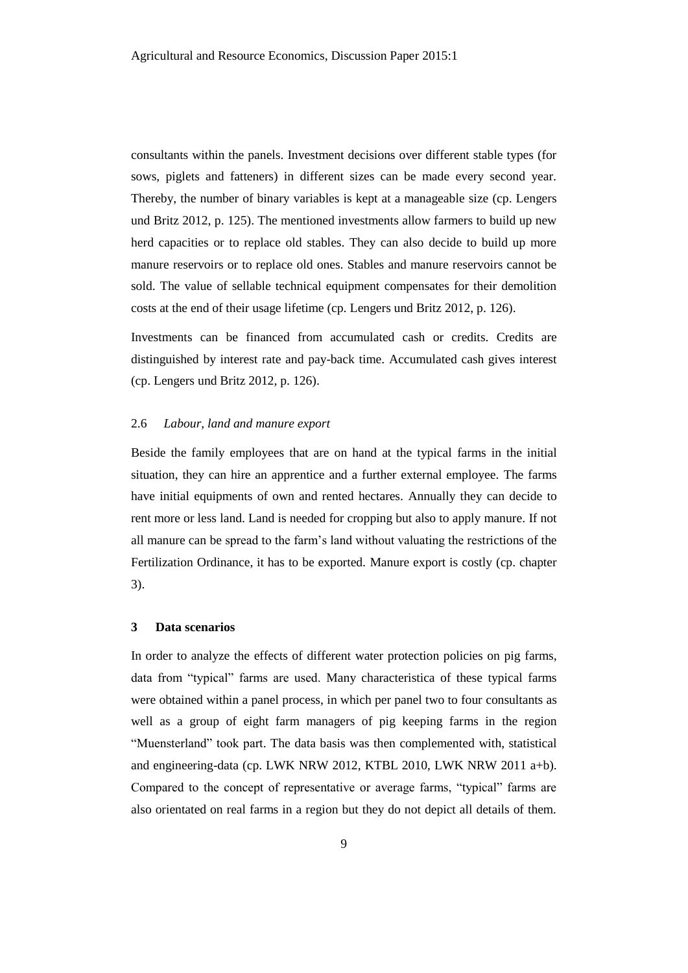consultants within the panels. Investment decisions over different stable types (for sows, piglets and fatteners) in different sizes can be made every second year. Thereby, the number of binary variables is kept at a manageable size (cp. Lengers und Britz 2012, p. 125). The mentioned investments allow farmers to build up new herd capacities or to replace old stables. They can also decide to build up more manure reservoirs or to replace old ones. Stables and manure reservoirs cannot be sold. The value of sellable technical equipment compensates for their demolition costs at the end of their usage lifetime (cp. Lengers und Britz 2012, p. 126).

Investments can be financed from accumulated cash or credits. Credits are distinguished by interest rate and pay-back time. Accumulated cash gives interest (cp. Lengers und Britz 2012, p. 126).

# 2.6 *Labour, land and manure export*

Beside the family employees that are on hand at the typical farms in the initial situation, they can hire an apprentice and a further external employee. The farms have initial equipments of own and rented hectares. Annually they can decide to rent more or less land. Land is needed for cropping but also to apply manure. If not all manure can be spread to the farm's land without valuating the restrictions of the Fertilization Ordinance, it has to be exported. Manure export is costly (cp. chapter 3).

# **3 Data scenarios**

In order to analyze the effects of different water protection policies on pig farms, data from "typical" farms are used. Many characteristica of these typical farms were obtained within a panel process, in which per panel two to four consultants as well as a group of eight farm managers of pig keeping farms in the region "Muensterland" took part. The data basis was then complemented with, statistical and engineering-data (cp. LWK NRW 2012, KTBL 2010, LWK NRW 2011 a+b). Compared to the concept of representative or average farms, "typical" farms are also orientated on real farms in a region but they do not depict all details of them.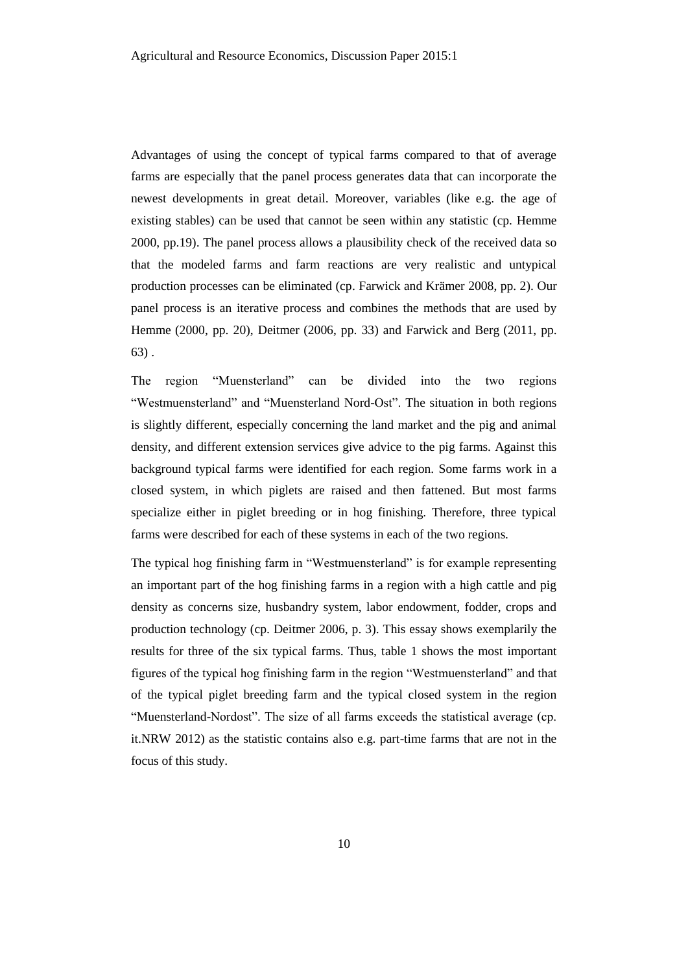Advantages of using the concept of typical farms compared to that of average farms are especially that the panel process generates data that can incorporate the newest developments in great detail. Moreover, variables (like e.g. the age of existing stables) can be used that cannot be seen within any statistic (cp. Hemme 2000, pp.19). The panel process allows a plausibility check of the received data so that the modeled farms and farm reactions are very realistic and untypical production processes can be eliminated (cp. Farwick and Krämer 2008, pp. 2). Our panel process is an iterative process and combines the methods that are used by Hemme (2000, pp. 20), Deitmer (2006, pp. 33) and Farwick and Berg (2011, pp. 63) .

The region "Muensterland" can be divided into the two regions "Westmuensterland" and "Muensterland Nord-Ost". The situation in both regions is slightly different, especially concerning the land market and the pig and animal density, and different extension services give advice to the pig farms. Against this background typical farms were identified for each region. Some farms work in a closed system, in which piglets are raised and then fattened. But most farms specialize either in piglet breeding or in hog finishing. Therefore, three typical farms were described for each of these systems in each of the two regions.

The typical hog finishing farm in "Westmuensterland" is for example representing an important part of the hog finishing farms in a region with a high cattle and pig density as concerns size, husbandry system, labor endowment, fodder, crops and production technology (cp. Deitmer 2006, p. 3). This essay shows exemplarily the results for three of the six typical farms. Thus, table 1 shows the most important figures of the typical hog finishing farm in the region "Westmuensterland" and that of the typical piglet breeding farm and the typical closed system in the region "Muensterland-Nordost". The size of all farms exceeds the statistical average (cp. it.NRW 2012) as the statistic contains also e.g. part-time farms that are not in the focus of this study.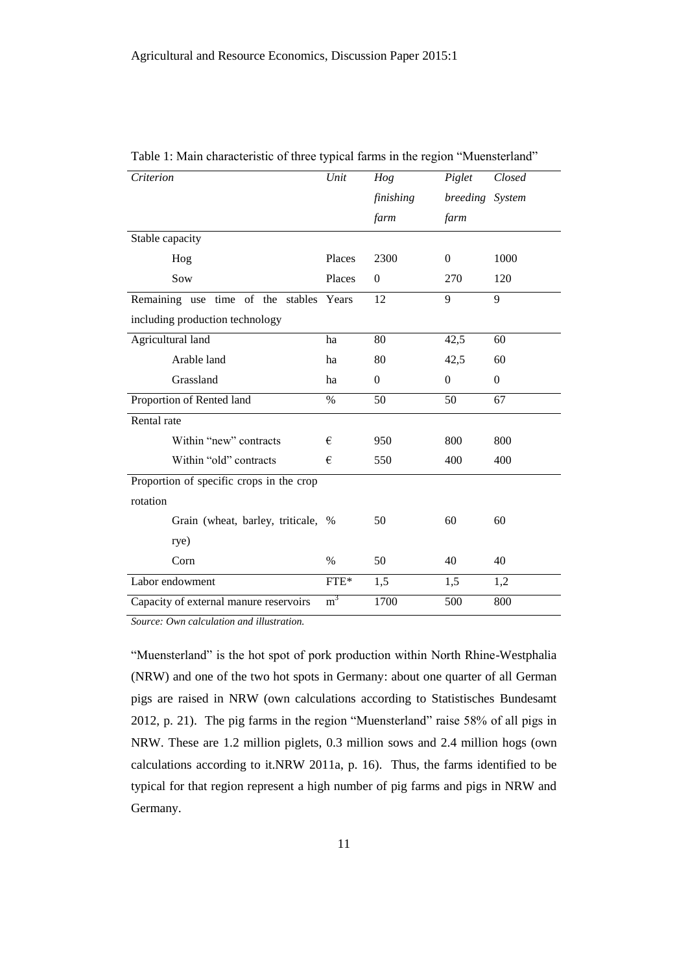| Criterion                                | Unit           | Hog          | Piglet          | Closed   |
|------------------------------------------|----------------|--------------|-----------------|----------|
|                                          |                | finishing    | breeding System |          |
|                                          |                | farm         | farm            |          |
| Stable capacity                          |                |              |                 |          |
| Hog                                      | Places         | 2300         | $\Omega$        | 1000     |
| Sow                                      | Places         | $\mathbf{0}$ | 270             | 120      |
| Remaining use time of the stables Years  |                | 12           | 9               | 9        |
| including production technology          |                |              |                 |          |
| Agricultural land                        | ha             | 80           | 42,5            | 60       |
| Arable land                              | ha             | 80           | 42,5            | 60       |
| Grassland                                | ha             | $\mathbf{0}$ | $\overline{0}$  | $\Omega$ |
| Proportion of Rented land                | $\%$           | 50           | 50              | 67       |
| Rental rate                              |                |              |                 |          |
| Within "new" contracts                   | €              | 950          | 800             | 800      |
| Within "old" contracts                   | €              | 550          | 400             | 400      |
| Proportion of specific crops in the crop |                |              |                 |          |
| rotation                                 |                |              |                 |          |
| Grain (wheat, barley, triticale, %       |                | 50           | 60              | 60       |
| rye)                                     |                |              |                 |          |
| Corn                                     | $\%$           | 50           | 40              | 40       |
| Labor endowment                          | ${\rm FTE^*}$  | 1,5          | 1,5             | 1,2      |
| Capacity of external manure reservoirs   | m <sup>3</sup> | 1700         | 500             | 800      |

Table 1: Main characteristic of three typical farms in the region "Muensterland"

*Source: Own calculation and illustration.*

"Muensterland" is the hot spot of pork production within North Rhine-Westphalia (NRW) and one of the two hot spots in Germany: about one quarter of all German pigs are raised in NRW (own calculations according to Statistisches Bundesamt 2012, p. 21). The pig farms in the region "Muensterland" raise 58% of all pigs in NRW. These are 1.2 million piglets, 0.3 million sows and 2.4 million hogs (own calculations according to it.NRW 2011a, p. 16). Thus, the farms identified to be typical for that region represent a high number of pig farms and pigs in NRW and Germany.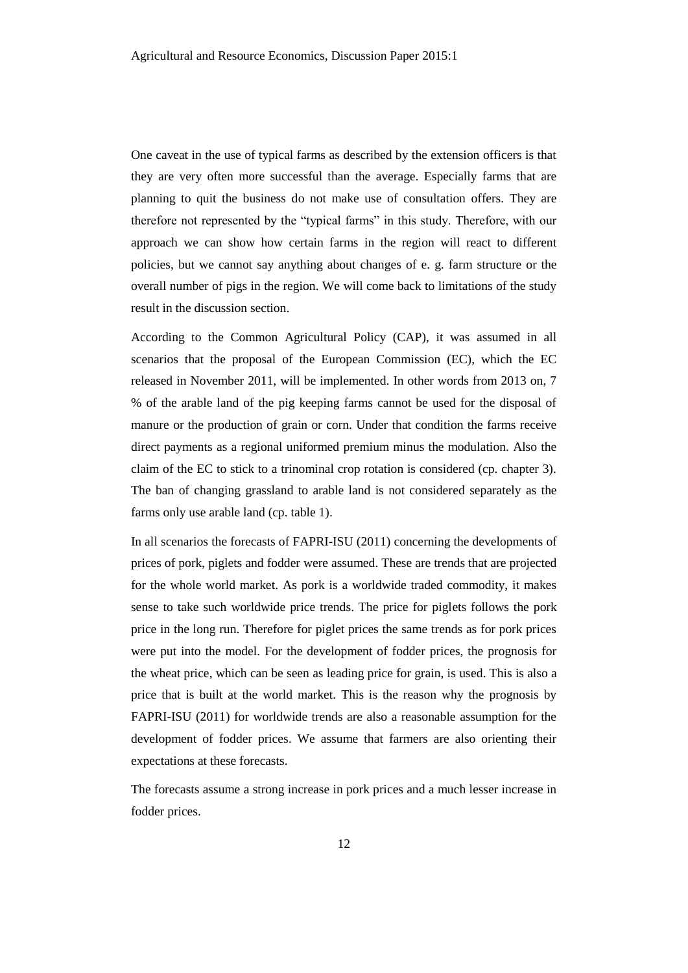One caveat in the use of typical farms as described by the extension officers is that they are very often more successful than the average. Especially farms that are planning to quit the business do not make use of consultation offers. They are therefore not represented by the "typical farms" in this study. Therefore, with our approach we can show how certain farms in the region will react to different policies, but we cannot say anything about changes of e. g. farm structure or the overall number of pigs in the region. We will come back to limitations of the study result in the discussion section.

According to the Common Agricultural Policy (CAP), it was assumed in all scenarios that the proposal of the European Commission (EC), which the EC released in November 2011, will be implemented. In other words from 2013 on, 7 % of the arable land of the pig keeping farms cannot be used for the disposal of manure or the production of grain or corn. Under that condition the farms receive direct payments as a regional uniformed premium minus the modulation. Also the claim of the EC to stick to a trinominal crop rotation is considered (cp. chapter 3). The ban of changing grassland to arable land is not considered separately as the farms only use arable land (cp. table 1).

In all scenarios the forecasts of FAPRI-ISU (2011) concerning the developments of prices of pork, piglets and fodder were assumed. These are trends that are projected for the whole world market. As pork is a worldwide traded commodity, it makes sense to take such worldwide price trends. The price for piglets follows the pork price in the long run. Therefore for piglet prices the same trends as for pork prices were put into the model. For the development of fodder prices, the prognosis for the wheat price, which can be seen as leading price for grain, is used. This is also a price that is built at the world market. This is the reason why the prognosis by FAPRI-ISU (2011) for worldwide trends are also a reasonable assumption for the development of fodder prices. We assume that farmers are also orienting their expectations at these forecasts.

The forecasts assume a strong increase in pork prices and a much lesser increase in fodder prices.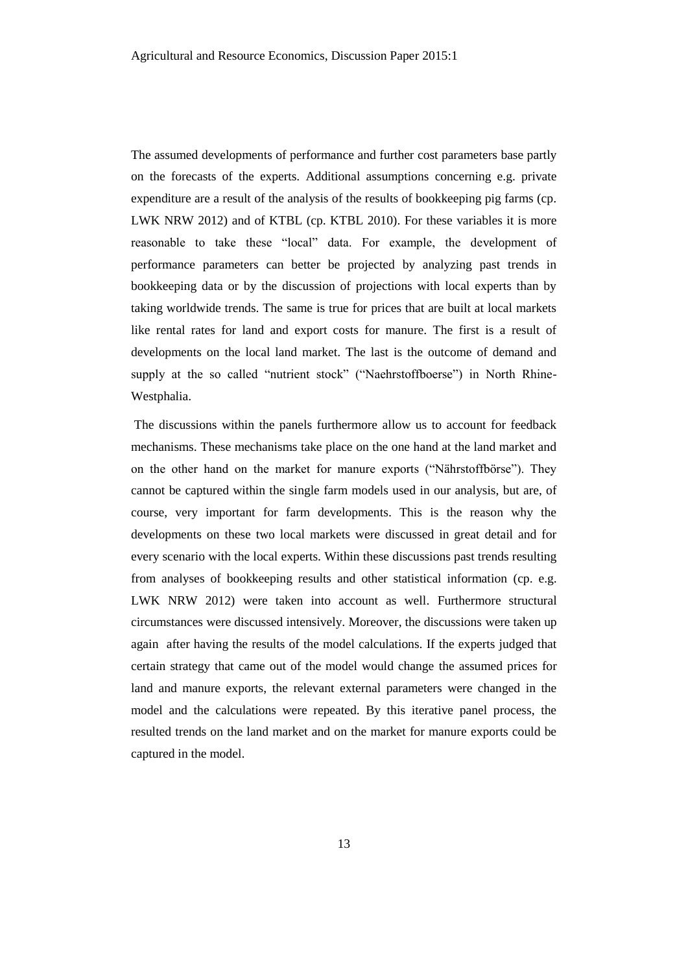The assumed developments of performance and further cost parameters base partly on the forecasts of the experts. Additional assumptions concerning e.g. private expenditure are a result of the analysis of the results of bookkeeping pig farms (cp. LWK NRW 2012) and of KTBL (cp. KTBL 2010). For these variables it is more reasonable to take these "local" data. For example, the development of performance parameters can better be projected by analyzing past trends in bookkeeping data or by the discussion of projections with local experts than by taking worldwide trends. The same is true for prices that are built at local markets like rental rates for land and export costs for manure. The first is a result of developments on the local land market. The last is the outcome of demand and supply at the so called "nutrient stock" ("Naehrstoffboerse") in North Rhine-Westphalia.

The discussions within the panels furthermore allow us to account for feedback mechanisms. These mechanisms take place on the one hand at the land market and on the other hand on the market for manure exports ("Nährstoffbörse"). They cannot be captured within the single farm models used in our analysis, but are, of course, very important for farm developments. This is the reason why the developments on these two local markets were discussed in great detail and for every scenario with the local experts. Within these discussions past trends resulting from analyses of bookkeeping results and other statistical information (cp. e.g. LWK NRW 2012) were taken into account as well. Furthermore structural circumstances were discussed intensively. Moreover, the discussions were taken up again after having the results of the model calculations. If the experts judged that certain strategy that came out of the model would change the assumed prices for land and manure exports, the relevant external parameters were changed in the model and the calculations were repeated. By this iterative panel process, the resulted trends on the land market and on the market for manure exports could be captured in the model.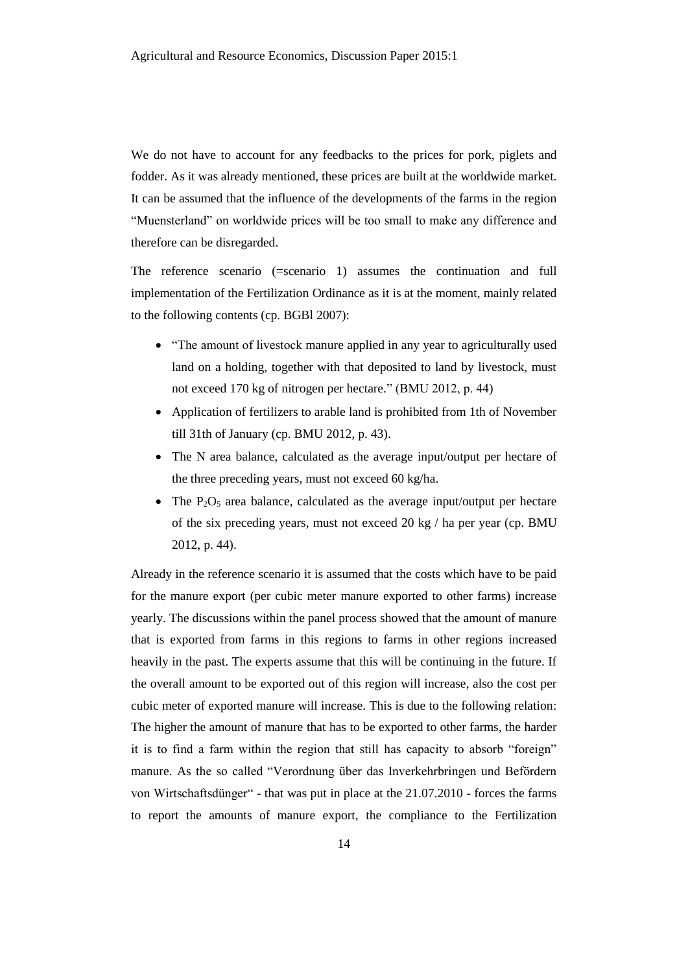We do not have to account for any feedbacks to the prices for pork, piglets and fodder. As it was already mentioned, these prices are built at the worldwide market. It can be assumed that the influence of the developments of the farms in the region "Muensterland" on worldwide prices will be too small to make any difference and therefore can be disregarded.

The reference scenario (=scenario 1) assumes the continuation and full implementation of the Fertilization Ordinance as it is at the moment, mainly related to the following contents (cp. BGBl 2007):

- "The amount of livestock manure applied in any year to agriculturally used land on a holding, together with that deposited to land by livestock, must not exceed 170 kg of nitrogen per hectare." (BMU 2012, p. 44)
- Application of fertilizers to arable land is prohibited from 1th of November till 31th of January (cp. BMU 2012, p. 43).
- The N area balance, calculated as the average input/output per hectare of the three preceding years, must not exceed 60 kg/ha.
- The  $P_2O_5$  area balance, calculated as the average input/output per hectare of the six preceding years, must not exceed 20 kg / ha per year (cp. BMU 2012, p. 44).

Already in the reference scenario it is assumed that the costs which have to be paid for the manure export (per cubic meter manure exported to other farms) increase yearly. The discussions within the panel process showed that the amount of manure that is exported from farms in this regions to farms in other regions increased heavily in the past. The experts assume that this will be continuing in the future. If the overall amount to be exported out of this region will increase, also the cost per cubic meter of exported manure will increase. This is due to the following relation: The higher the amount of manure that has to be exported to other farms, the harder it is to find a farm within the region that still has capacity to absorb "foreign" manure. As the so called "Verordnung über das Inverkehrbringen und Befördern von Wirtschaftsdünger" - that was put in place at the 21.07.2010 - forces the farms to report the amounts of manure export, the compliance to the Fertilization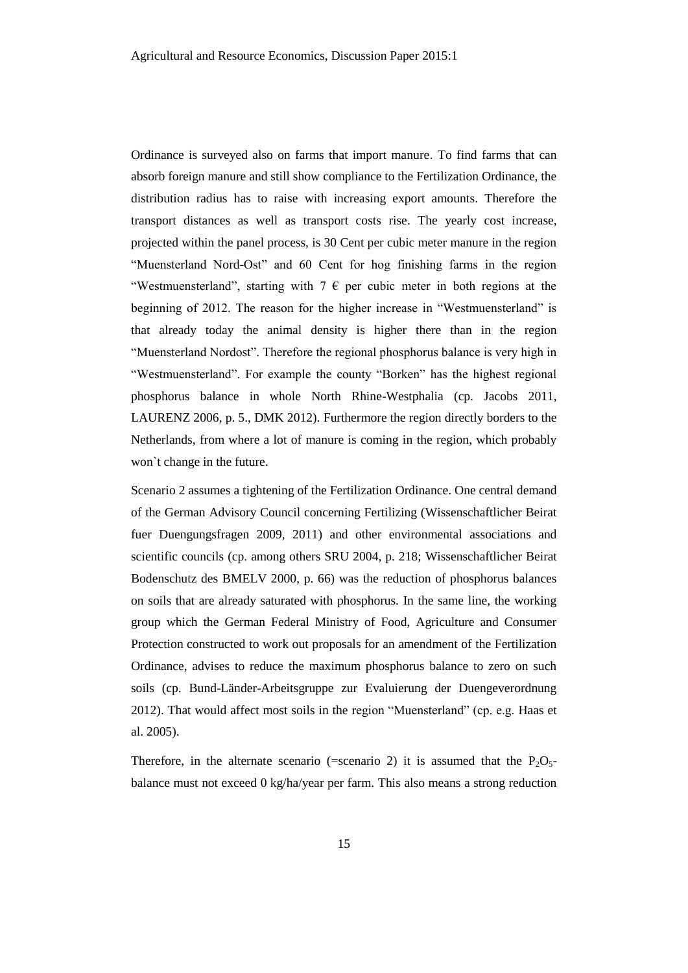Ordinance is surveyed also on farms that import manure. To find farms that can absorb foreign manure and still show compliance to the Fertilization Ordinance, the distribution radius has to raise with increasing export amounts. Therefore the transport distances as well as transport costs rise. The yearly cost increase, projected within the panel process, is 30 Cent per cubic meter manure in the region "Muensterland Nord-Ost" and 60 Cent for hog finishing farms in the region "Westmuensterland", starting with  $7 \in \mathbb{R}$  per cubic meter in both regions at the beginning of 2012. The reason for the higher increase in "Westmuensterland" is that already today the animal density is higher there than in the region "Muensterland Nordost". Therefore the regional phosphorus balance is very high in "Westmuensterland". For example the county "Borken" has the highest regional phosphorus balance in whole North Rhine-Westphalia (cp. Jacobs 2011, LAURENZ 2006, p. 5., DMK 2012). Furthermore the region directly borders to the Netherlands, from where a lot of manure is coming in the region, which probably won`t change in the future.

Scenario 2 assumes a tightening of the Fertilization Ordinance. One central demand of the German Advisory Council concerning Fertilizing (Wissenschaftlicher Beirat fuer Duengungsfragen 2009, 2011) and other environmental associations and scientific councils (cp. among others SRU 2004, p. 218; Wissenschaftlicher Beirat Bodenschutz des BMELV 2000, p. 66) was the reduction of phosphorus balances on soils that are already saturated with phosphorus. In the same line, the working group which the German Federal Ministry of Food, Agriculture and Consumer Protection constructed to work out proposals for an amendment of the Fertilization Ordinance, advises to reduce the maximum phosphorus balance to zero on such soils (cp. Bund-Länder-Arbeitsgruppe zur Evaluierung der Duengeverordnung 2012). That would affect most soils in the region "Muensterland" (cp. e.g. Haas et al. 2005).

Therefore, in the alternate scenario (=scenario 2) it is assumed that the  $P_2O_5$ balance must not exceed 0 kg/ha/year per farm. This also means a strong reduction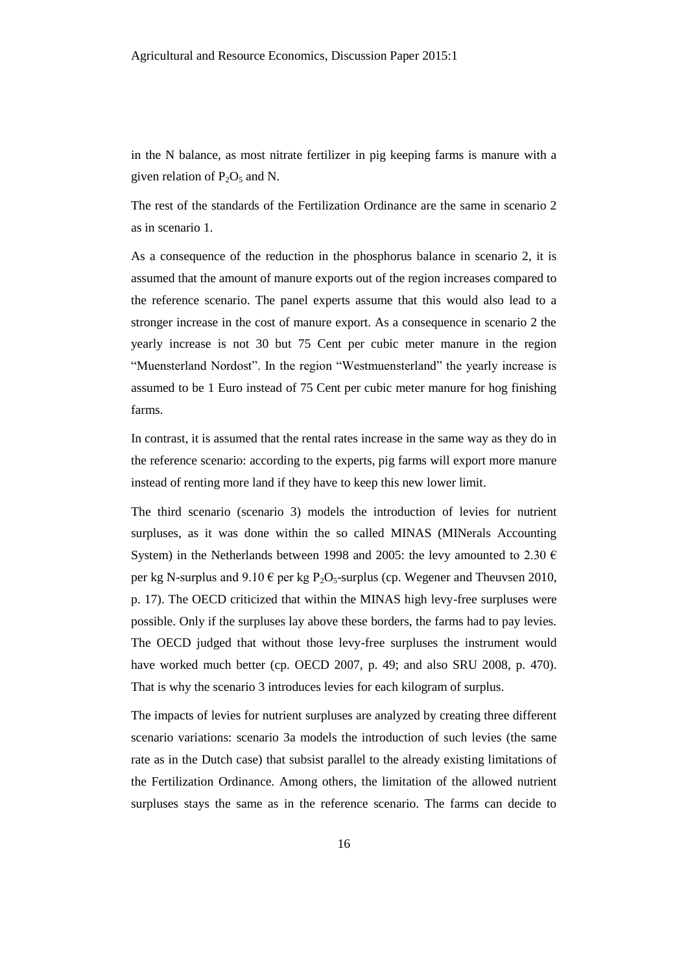in the N balance, as most nitrate fertilizer in pig keeping farms is manure with a given relation of  $P_2O_5$  and N.

The rest of the standards of the Fertilization Ordinance are the same in scenario 2 as in scenario 1.

As a consequence of the reduction in the phosphorus balance in scenario 2, it is assumed that the amount of manure exports out of the region increases compared to the reference scenario. The panel experts assume that this would also lead to a stronger increase in the cost of manure export. As a consequence in scenario 2 the yearly increase is not 30 but 75 Cent per cubic meter manure in the region "Muensterland Nordost". In the region "Westmuensterland" the yearly increase is assumed to be 1 Euro instead of 75 Cent per cubic meter manure for hog finishing farms.

In contrast, it is assumed that the rental rates increase in the same way as they do in the reference scenario: according to the experts, pig farms will export more manure instead of renting more land if they have to keep this new lower limit.

The third scenario (scenario 3) models the introduction of levies for nutrient surpluses, as it was done within the so called MINAS (MINerals Accounting System) in the Netherlands between 1998 and 2005: the levy amounted to 2.30  $\epsilon$ per kg N-surplus and  $9.10 \text{ }\epsilon$  per kg P<sub>2</sub>O<sub>5</sub>-surplus (cp. Wegener and Theuvsen 2010, p. 17). The OECD criticized that within the MINAS high levy-free surpluses were possible. Only if the surpluses lay above these borders, the farms had to pay levies. The OECD judged that without those levy-free surpluses the instrument would have worked much better (cp. OECD 2007, p. 49; and also SRU 2008, p. 470). That is why the scenario 3 introduces levies for each kilogram of surplus.

The impacts of levies for nutrient surpluses are analyzed by creating three different scenario variations: scenario 3a models the introduction of such levies (the same rate as in the Dutch case) that subsist parallel to the already existing limitations of the Fertilization Ordinance. Among others, the limitation of the allowed nutrient surpluses stays the same as in the reference scenario. The farms can decide to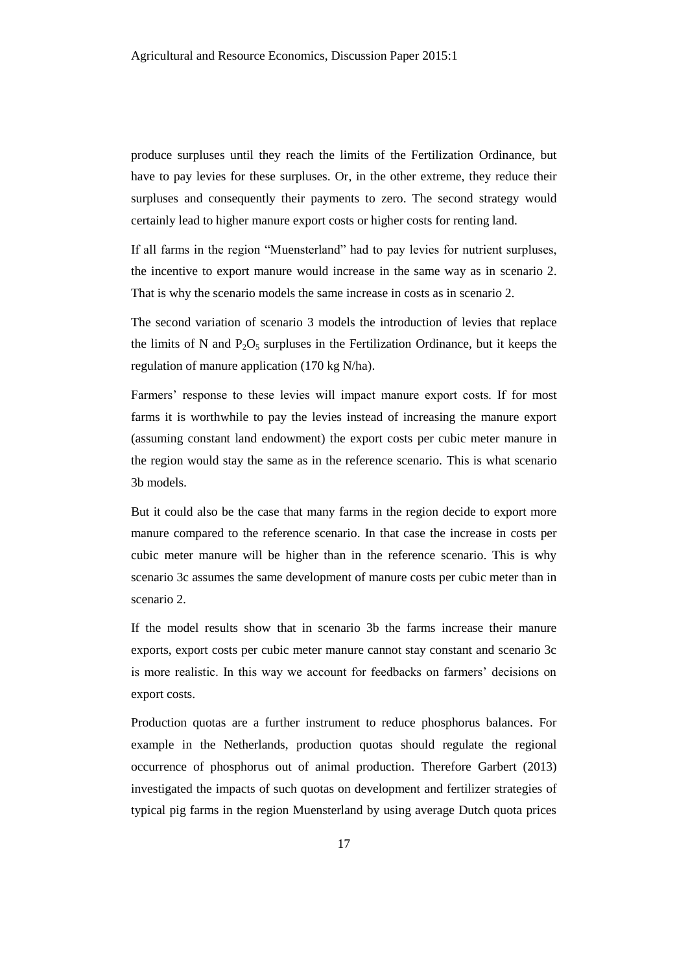produce surpluses until they reach the limits of the Fertilization Ordinance, but have to pay levies for these surpluses. Or, in the other extreme, they reduce their surpluses and consequently their payments to zero. The second strategy would certainly lead to higher manure export costs or higher costs for renting land.

If all farms in the region "Muensterland" had to pay levies for nutrient surpluses, the incentive to export manure would increase in the same way as in scenario 2. That is why the scenario models the same increase in costs as in scenario 2.

The second variation of scenario 3 models the introduction of levies that replace the limits of N and  $P_2O_5$  surpluses in the Fertilization Ordinance, but it keeps the regulation of manure application (170 kg N/ha).

Farmers' response to these levies will impact manure export costs. If for most farms it is worthwhile to pay the levies instead of increasing the manure export (assuming constant land endowment) the export costs per cubic meter manure in the region would stay the same as in the reference scenario. This is what scenario 3b models.

But it could also be the case that many farms in the region decide to export more manure compared to the reference scenario. In that case the increase in costs per cubic meter manure will be higher than in the reference scenario. This is why scenario 3c assumes the same development of manure costs per cubic meter than in scenario 2.

If the model results show that in scenario 3b the farms increase their manure exports, export costs per cubic meter manure cannot stay constant and scenario 3c is more realistic. In this way we account for feedbacks on farmers' decisions on export costs.

Production quotas are a further instrument to reduce phosphorus balances. For example in the Netherlands, production quotas should regulate the regional occurrence of phosphorus out of animal production. Therefore Garbert (2013) investigated the impacts of such quotas on development and fertilizer strategies of typical pig farms in the region Muensterland by using average Dutch quota prices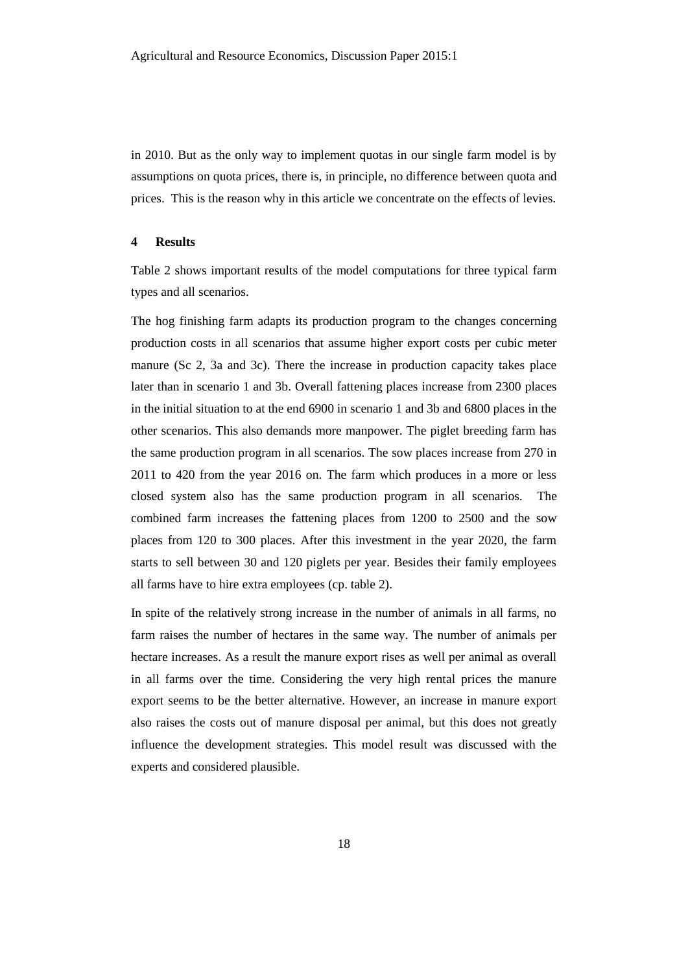in 2010. But as the only way to implement quotas in our single farm model is by assumptions on quota prices, there is, in principle, no difference between quota and prices. This is the reason why in this article we concentrate on the effects of levies.

### **4 Results**

Table 2 shows important results of the model computations for three typical farm types and all scenarios.

The hog finishing farm adapts its production program to the changes concerning production costs in all scenarios that assume higher export costs per cubic meter manure (Sc 2, 3a and 3c). There the increase in production capacity takes place later than in scenario 1 and 3b. Overall fattening places increase from 2300 places in the initial situation to at the end 6900 in scenario 1 and 3b and 6800 places in the other scenarios. This also demands more manpower. The piglet breeding farm has the same production program in all scenarios. The sow places increase from 270 in 2011 to 420 from the year 2016 on. The farm which produces in a more or less closed system also has the same production program in all scenarios. The combined farm increases the fattening places from 1200 to 2500 and the sow places from 120 to 300 places. After this investment in the year 2020, the farm starts to sell between 30 and 120 piglets per year. Besides their family employees all farms have to hire extra employees (cp. table 2).

In spite of the relatively strong increase in the number of animals in all farms, no farm raises the number of hectares in the same way. The number of animals per hectare increases. As a result the manure export rises as well per animal as overall in all farms over the time. Considering the very high rental prices the manure export seems to be the better alternative. However, an increase in manure export also raises the costs out of manure disposal per animal, but this does not greatly influence the development strategies. This model result was discussed with the experts and considered plausible.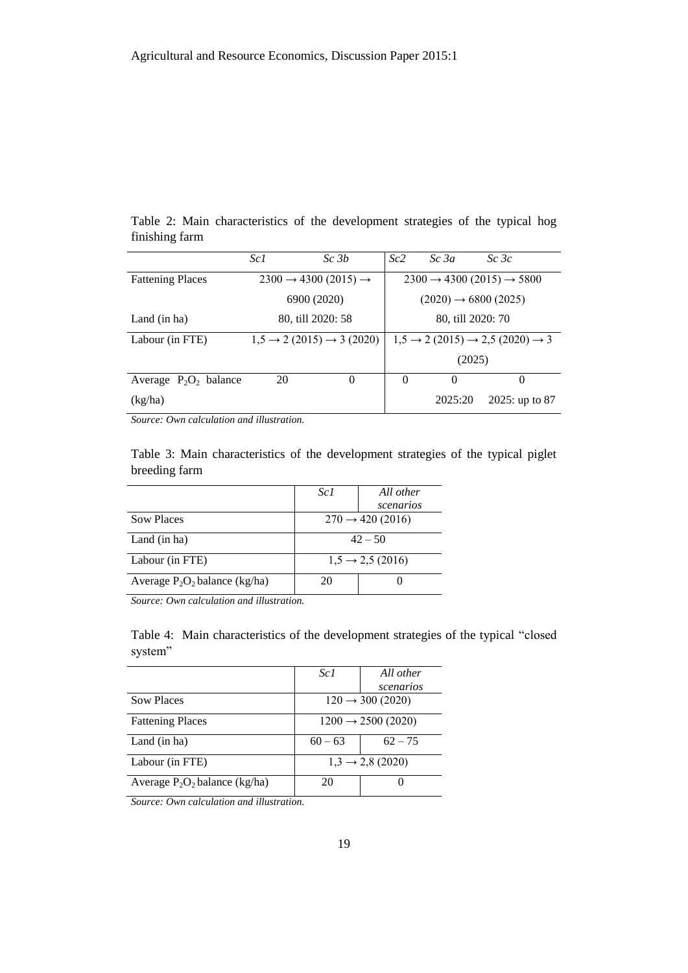|                | Table 2: Main characteristics of the development strategies of the typical hog |  |  |  |  |
|----------------|--------------------------------------------------------------------------------|--|--|--|--|
| finishing farm |                                                                                |  |  |  |  |

|                          | Sc1                                        | Sc <sub>3b</sub>                              | Sc2                                                           | Sc3a                             | Sc3c           |  |
|--------------------------|--------------------------------------------|-----------------------------------------------|---------------------------------------------------------------|----------------------------------|----------------|--|
| <b>Fattening Places</b>  | $2300 \rightarrow 4300 (2015) \rightarrow$ |                                               | $2300 \rightarrow 4300 (2015) \rightarrow 5800$               |                                  |                |  |
|                          |                                            | 6900 (2020)                                   |                                                               | $(2020) \rightarrow 6800 (2025)$ |                |  |
| Land (in ha)             |                                            | 80, till 2020: 58                             |                                                               | 80, till 2020: 70                |                |  |
| Labour (in FTE)          |                                            | $1,5 \rightarrow 2(2015) \rightarrow 3(2020)$ | $1,5 \rightarrow 2(2015) \rightarrow 2,5(2020) \rightarrow 3$ |                                  |                |  |
|                          |                                            |                                               |                                                               | (2025)                           |                |  |
| Average $P_2O_2$ balance | 20                                         | $\Omega$                                      | $\Omega$                                                      | 0                                | $\Omega$       |  |
| (kg/ha)                  |                                            |                                               |                                                               | 2025:20                          | 2025: up to 87 |  |

*Source: Own calculation and illustration.*

Table 3: Main characteristics of the development strategies of the typical piglet breeding farm

|                                  | Sc1                          | All other |  |
|----------------------------------|------------------------------|-----------|--|
|                                  |                              | scenarios |  |
| <b>Sow Places</b>                | $270 \rightarrow 420 (2016)$ |           |  |
| Land (in ha)                     | $42 - 50$                    |           |  |
| Labour (in FTE)                  | $1,5 \rightarrow 2,5(2016)$  |           |  |
| Average $P_2O_2$ balance (kg/ha) | 20                           |           |  |

*Source: Own calculation and illustration.*

Table 4: Main characteristics of the development strategies of the typical "closed system"

|                                  | Sc1                            | All other |  |
|----------------------------------|--------------------------------|-----------|--|
|                                  |                                | scenarios |  |
| <b>Sow Places</b>                | $120 \rightarrow 300 (2020)$   |           |  |
| <b>Fattening Places</b>          | $1200 \rightarrow 2500 (2020)$ |           |  |
| Land (in ha)                     | $60 - 63$                      | $62 - 75$ |  |
| Labour (in FTE)                  | $1,3 \rightarrow 2,8(2020)$    |           |  |
| Average $P_2O_2$ balance (kg/ha) | 20                             |           |  |
|                                  |                                |           |  |

*Source: Own calculation and illustration.*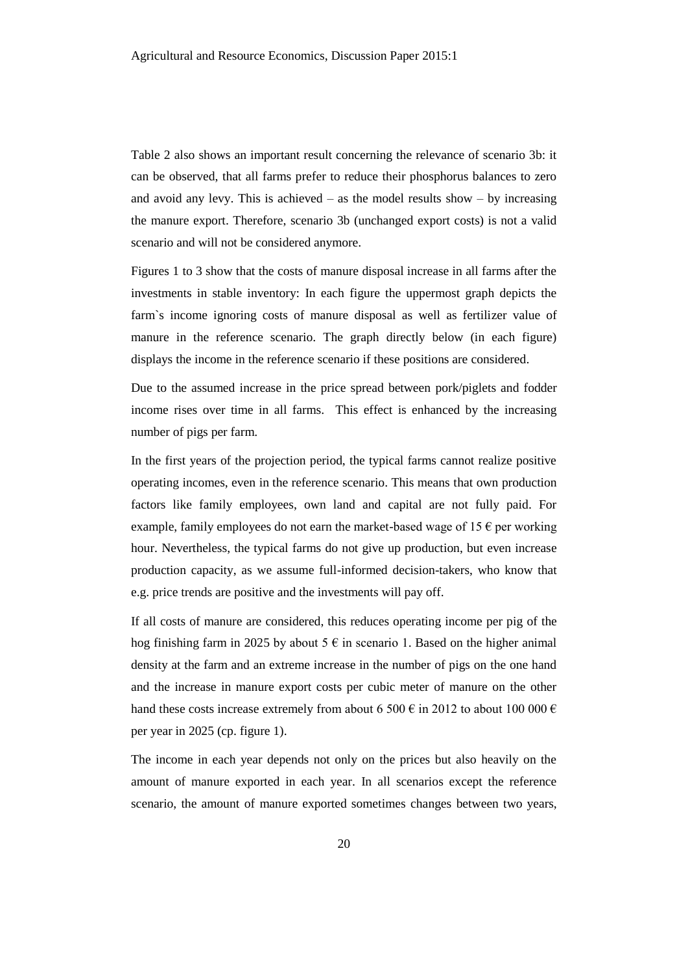Table 2 also shows an important result concerning the relevance of scenario 3b: it can be observed, that all farms prefer to reduce their phosphorus balances to zero and avoid any levy. This is achieved – as the model results show – by increasing the manure export. Therefore, scenario 3b (unchanged export costs) is not a valid scenario and will not be considered anymore.

Figures 1 to 3 show that the costs of manure disposal increase in all farms after the investments in stable inventory: In each figure the uppermost graph depicts the farm`s income ignoring costs of manure disposal as well as fertilizer value of manure in the reference scenario. The graph directly below (in each figure) displays the income in the reference scenario if these positions are considered.

Due to the assumed increase in the price spread between pork/piglets and fodder income rises over time in all farms. This effect is enhanced by the increasing number of pigs per farm.

In the first years of the projection period, the typical farms cannot realize positive operating incomes, even in the reference scenario. This means that own production factors like family employees, own land and capital are not fully paid. For example, family employees do not earn the market-based wage of  $15 \in \text{per working}$ hour. Nevertheless, the typical farms do not give up production, but even increase production capacity, as we assume full-informed decision-takers, who know that e.g. price trends are positive and the investments will pay off.

If all costs of manure are considered, this reduces operating income per pig of the hog finishing farm in 2025 by about 5  $\epsilon$  in scenario 1. Based on the higher animal density at the farm and an extreme increase in the number of pigs on the one hand and the increase in manure export costs per cubic meter of manure on the other hand these costs increase extremely from about 6 500  $\epsilon$  in 2012 to about 100 000  $\epsilon$ per year in 2025 (cp. figure 1).

The income in each year depends not only on the prices but also heavily on the amount of manure exported in each year. In all scenarios except the reference scenario, the amount of manure exported sometimes changes between two years,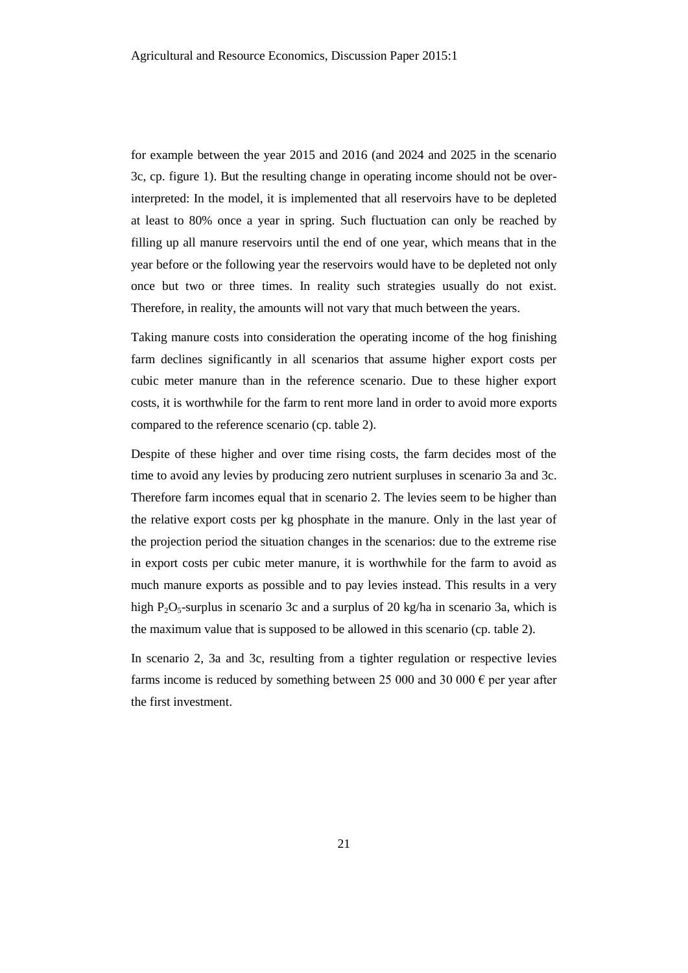for example between the year 2015 and 2016 (and 2024 and 2025 in the scenario 3c, cp. figure 1). But the resulting change in operating income should not be overinterpreted: In the model, it is implemented that all reservoirs have to be depleted at least to 80% once a year in spring. Such fluctuation can only be reached by filling up all manure reservoirs until the end of one year, which means that in the year before or the following year the reservoirs would have to be depleted not only once but two or three times. In reality such strategies usually do not exist. Therefore, in reality, the amounts will not vary that much between the years.

Taking manure costs into consideration the operating income of the hog finishing farm declines significantly in all scenarios that assume higher export costs per cubic meter manure than in the reference scenario. Due to these higher export costs, it is worthwhile for the farm to rent more land in order to avoid more exports compared to the reference scenario (cp. table 2).

Despite of these higher and over time rising costs, the farm decides most of the time to avoid any levies by producing zero nutrient surpluses in scenario 3a and 3c. Therefore farm incomes equal that in scenario 2. The levies seem to be higher than the relative export costs per kg phosphate in the manure. Only in the last year of the projection period the situation changes in the scenarios: due to the extreme rise in export costs per cubic meter manure, it is worthwhile for the farm to avoid as much manure exports as possible and to pay levies instead. This results in a very high  $P_2O_5$ -surplus in scenario 3c and a surplus of 20 kg/ha in scenario 3a, which is the maximum value that is supposed to be allowed in this scenario (cp. table 2).

In scenario 2, 3a and 3c, resulting from a tighter regulation or respective levies farms income is reduced by something between 25 000 and 30 000  $\epsilon$  per year after the first investment.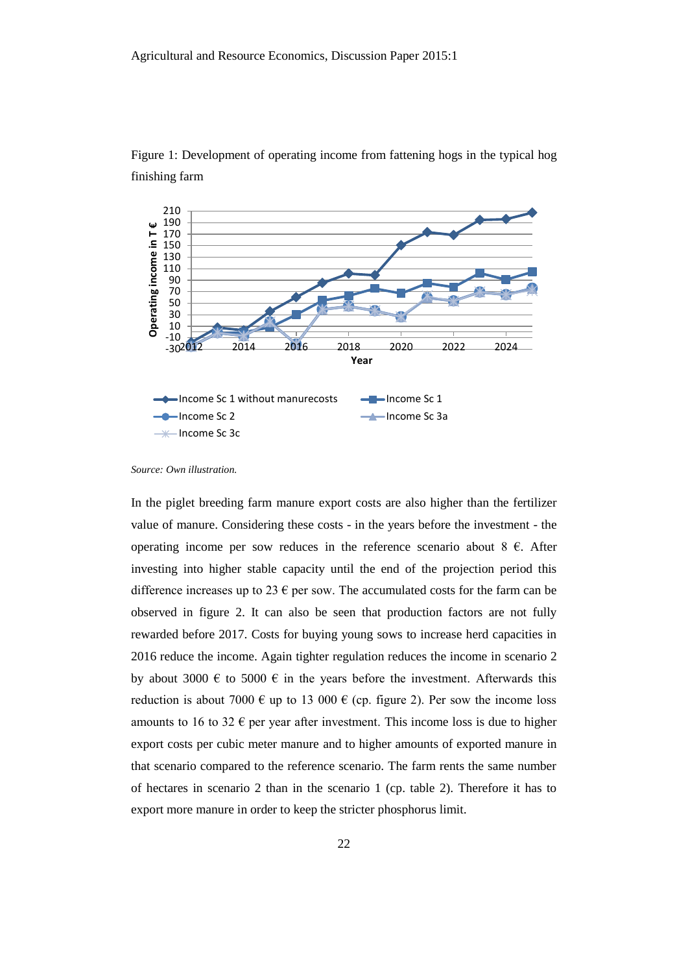

Figure 1: Development of operating income from fattening hogs in the typical hog finishing farm

In the piglet breeding farm manure export costs are also higher than the fertilizer value of manure. Considering these costs - in the years before the investment - the operating income per sow reduces in the reference scenario about  $8 \text{ } \in$ . After investing into higher stable capacity until the end of the projection period this difference increases up to 23  $\epsilon$  per sow. The accumulated costs for the farm can be observed in figure 2. It can also be seen that production factors are not fully rewarded before 2017. Costs for buying young sows to increase herd capacities in 2016 reduce the income. Again tighter regulation reduces the income in scenario 2 by about 3000  $\epsilon$  to 5000  $\epsilon$  in the years before the investment. Afterwards this reduction is about 7000  $\epsilon$  up to 13 000  $\epsilon$  (cp. figure 2). Per sow the income loss amounts to 16 to 32  $\epsilon$  per year after investment. This income loss is due to higher export costs per cubic meter manure and to higher amounts of exported manure in that scenario compared to the reference scenario. The farm rents the same number of hectares in scenario 2 than in the scenario 1 (cp. table 2). Therefore it has to export more manure in order to keep the stricter phosphorus limit.

*Source: Own illustration.*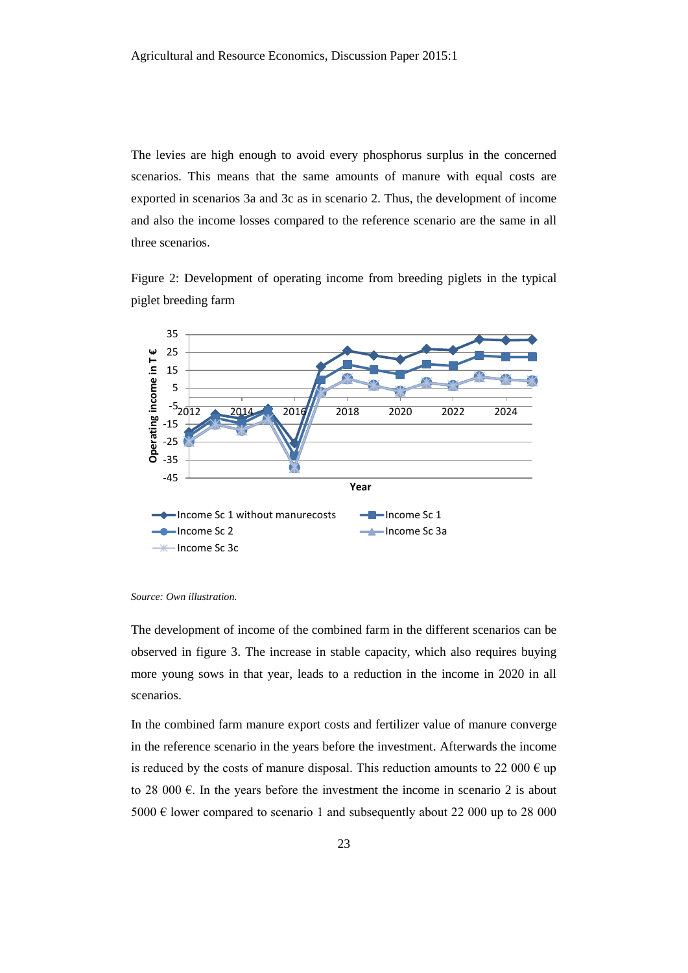The levies are high enough to avoid every phosphorus surplus in the concerned scenarios. This means that the same amounts of manure with equal costs are exported in scenarios 3a and 3c as in scenario 2. Thus, the development of income and also the income losses compared to the reference scenario are the same in all three scenarios.

Figure 2: Development of operating income from breeding piglets in the typical piglet breeding farm



*Source: Own illustration.*

The development of income of the combined farm in the different scenarios can be observed in figure 3. The increase in stable capacity, which also requires buying more young sows in that year, leads to a reduction in the income in 2020 in all scenarios.

In the combined farm manure export costs and fertilizer value of manure converge in the reference scenario in the years before the investment. Afterwards the income is reduced by the costs of manure disposal. This reduction amounts to 22 000  $\epsilon$  up to 28 000  $\epsilon$ . In the years before the investment the income in scenario 2 is about 5000  $\epsilon$  lower compared to scenario 1 and subsequently about 22 000 up to 28 000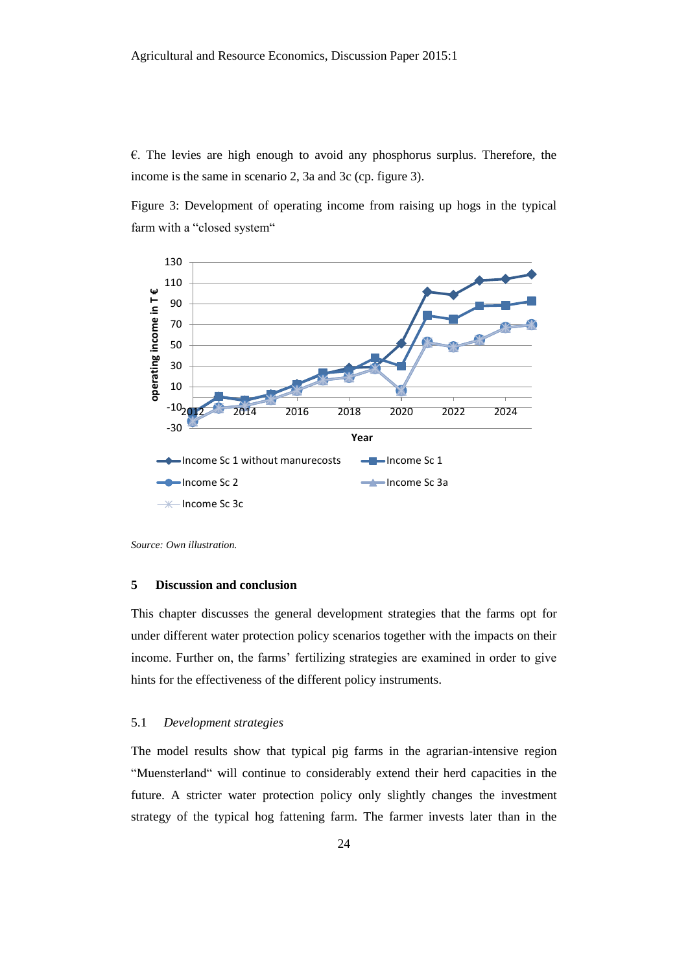$\epsilon$ . The levies are high enough to avoid any phosphorus surplus. Therefore, the income is the same in scenario 2, 3a and 3c (cp. figure 3).

Figure 3: Development of operating income from raising up hogs in the typical farm with a "closed system"



*Source: Own illustration.*

### **5 Discussion and conclusion**

This chapter discusses the general development strategies that the farms opt for under different water protection policy scenarios together with the impacts on their income. Further on, the farms' fertilizing strategies are examined in order to give hints for the effectiveness of the different policy instruments.

# 5.1 *Development strategies*

The model results show that typical pig farms in the agrarian-intensive region "Muensterland" will continue to considerably extend their herd capacities in the future. A stricter water protection policy only slightly changes the investment strategy of the typical hog fattening farm. The farmer invests later than in the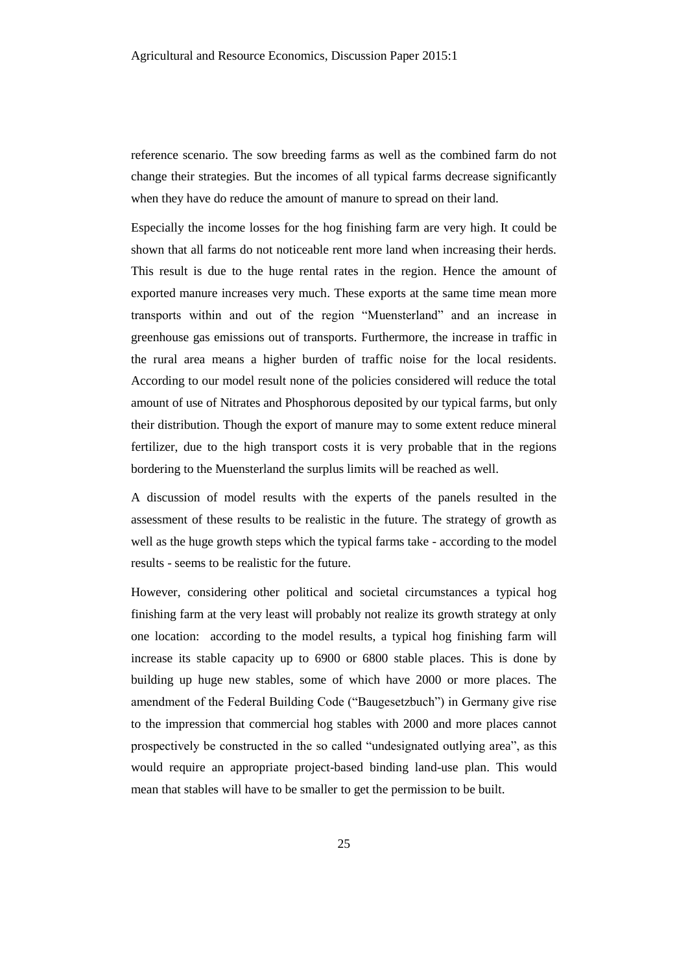reference scenario. The sow breeding farms as well as the combined farm do not change their strategies. But the incomes of all typical farms decrease significantly when they have do reduce the amount of manure to spread on their land.

Especially the income losses for the hog finishing farm are very high. It could be shown that all farms do not noticeable rent more land when increasing their herds. This result is due to the huge rental rates in the region. Hence the amount of exported manure increases very much. These exports at the same time mean more transports within and out of the region "Muensterland" and an increase in greenhouse gas emissions out of transports. Furthermore, the increase in traffic in the rural area means a higher burden of traffic noise for the local residents. According to our model result none of the policies considered will reduce the total amount of use of Nitrates and Phosphorous deposited by our typical farms, but only their distribution. Though the export of manure may to some extent reduce mineral fertilizer, due to the high transport costs it is very probable that in the regions bordering to the Muensterland the surplus limits will be reached as well.

A discussion of model results with the experts of the panels resulted in the assessment of these results to be realistic in the future. The strategy of growth as well as the huge growth steps which the typical farms take - according to the model results - seems to be realistic for the future.

However, considering other political and societal circumstances a typical hog finishing farm at the very least will probably not realize its growth strategy at only one location: according to the model results, a typical hog finishing farm will increase its stable capacity up to 6900 or 6800 stable places. This is done by building up huge new stables, some of which have 2000 or more places. The amendment of the Federal Building Code ("Baugesetzbuch") in Germany give rise to the impression that commercial hog stables with 2000 and more places cannot prospectively be constructed in the so called "undesignated outlying area", as this would require an appropriate project-based binding land-use plan. This would mean that stables will have to be smaller to get the permission to be built.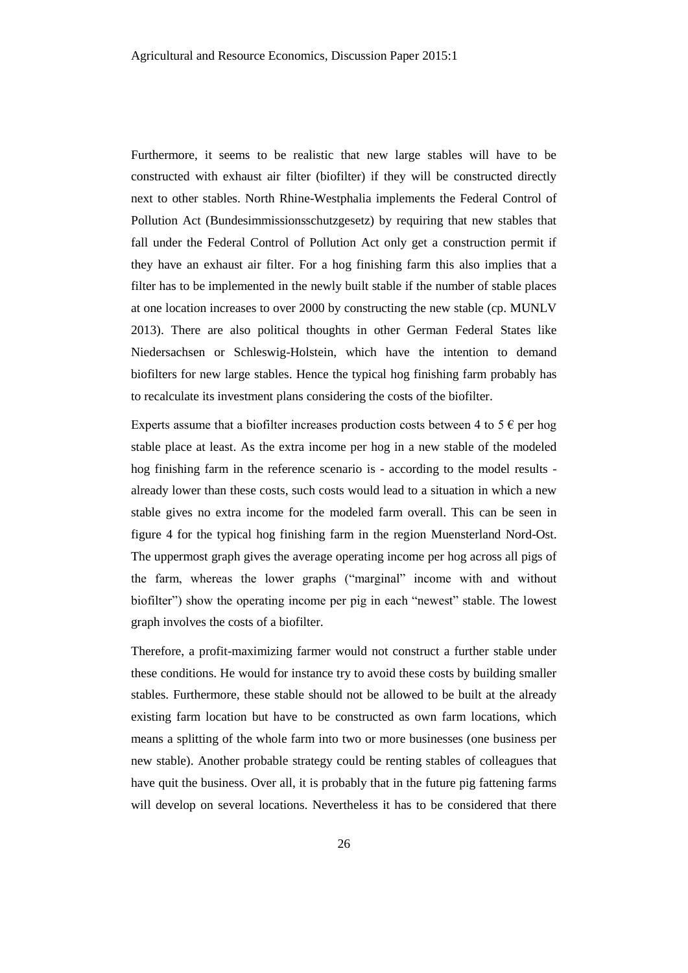Furthermore, it seems to be realistic that new large stables will have to be constructed with exhaust air filter (biofilter) if they will be constructed directly next to other stables. North Rhine-Westphalia implements the Federal Control of Pollution Act (Bundesimmissionsschutzgesetz) by requiring that new stables that fall under the Federal Control of Pollution Act only get a construction permit if they have an exhaust air filter. For a hog finishing farm this also implies that a filter has to be implemented in the newly built stable if the number of stable places at one location increases to over 2000 by constructing the new stable (cp. MUNLV 2013). There are also political thoughts in other German Federal States like Niedersachsen or Schleswig-Holstein, which have the intention to demand biofilters for new large stables. Hence the typical hog finishing farm probably has to recalculate its investment plans considering the costs of the biofilter.

Experts assume that a biofilter increases production costs between 4 to 5  $\epsilon$  per hog stable place at least. As the extra income per hog in a new stable of the modeled hog finishing farm in the reference scenario is - according to the model results already lower than these costs, such costs would lead to a situation in which a new stable gives no extra income for the modeled farm overall. This can be seen in figure 4 for the typical hog finishing farm in the region Muensterland Nord-Ost. The uppermost graph gives the average operating income per hog across all pigs of the farm, whereas the lower graphs ("marginal" income with and without biofilter") show the operating income per pig in each "newest" stable. The lowest graph involves the costs of a biofilter.

Therefore, a profit-maximizing farmer would not construct a further stable under these conditions. He would for instance try to avoid these costs by building smaller stables. Furthermore, these stable should not be allowed to be built at the already existing farm location but have to be constructed as own farm locations, which means a splitting of the whole farm into two or more businesses (one business per new stable). Another probable strategy could be renting stables of colleagues that have quit the business. Over all, it is probably that in the future pig fattening farms will develop on several locations. Nevertheless it has to be considered that there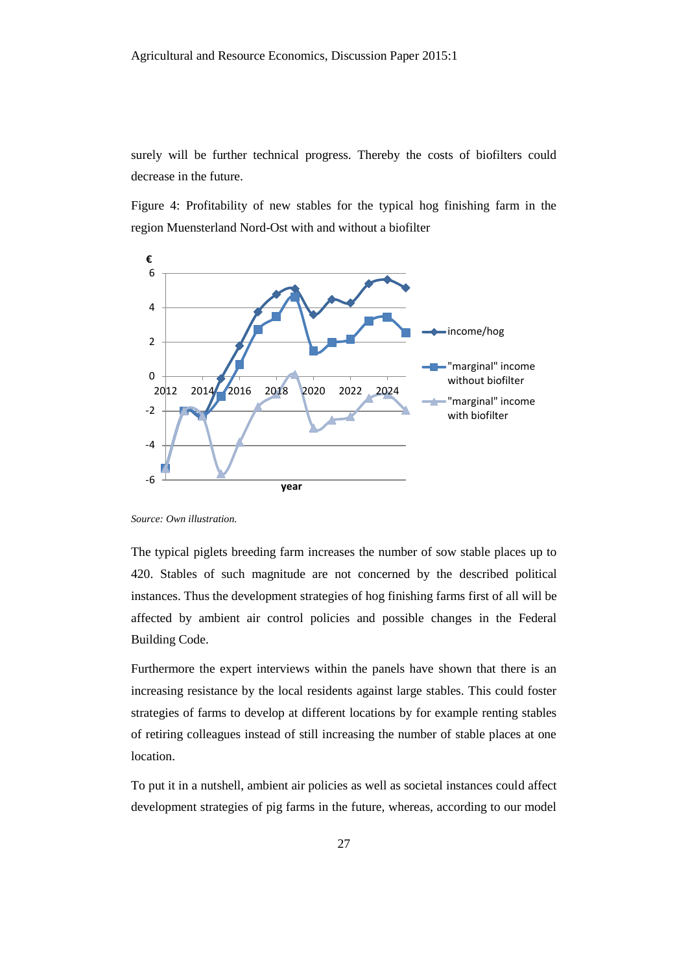surely will be further technical progress. Thereby the costs of biofilters could decrease in the future.

Figure 4: Profitability of new stables for the typical hog finishing farm in the region Muensterland Nord-Ost with and without a biofilter



*Source: Own illustration.*

The typical piglets breeding farm increases the number of sow stable places up to 420. Stables of such magnitude are not concerned by the described political instances. Thus the development strategies of hog finishing farms first of all will be affected by ambient air control policies and possible changes in the Federal Building Code.

Furthermore the expert interviews within the panels have shown that there is an increasing resistance by the local residents against large stables. This could foster strategies of farms to develop at different locations by for example renting stables of retiring colleagues instead of still increasing the number of stable places at one location.

To put it in a nutshell, ambient air policies as well as societal instances could affect development strategies of pig farms in the future, whereas, according to our model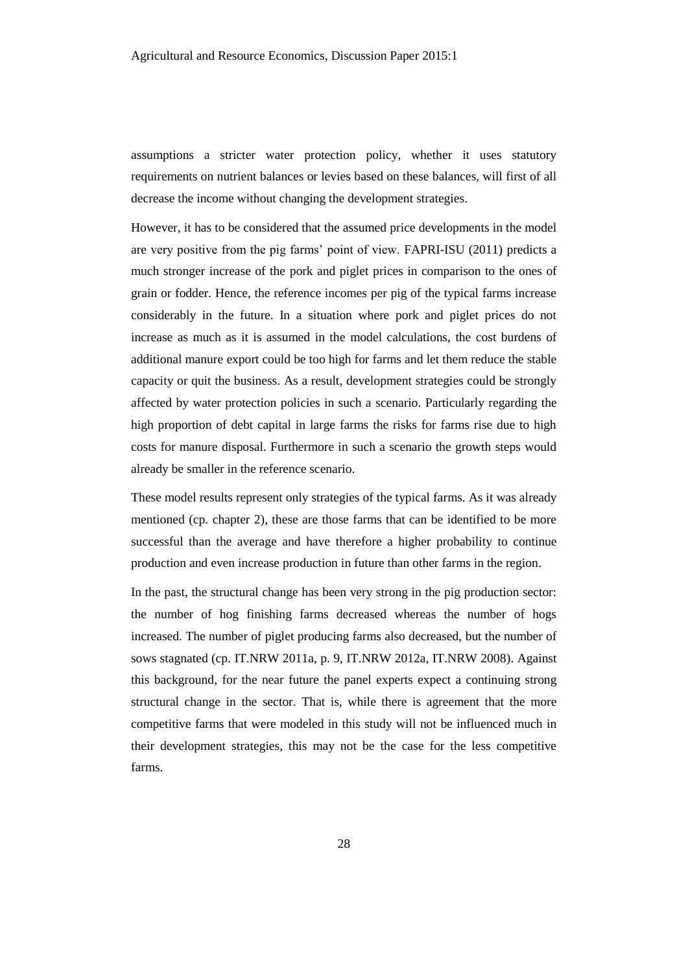assumptions a stricter water protection policy, whether it uses statutory requirements on nutrient balances or levies based on these balances, will first of all decrease the income without changing the development strategies.

However, it has to be considered that the assumed price developments in the model are very positive from the pig farms' point of view. FAPRI-ISU (2011) predicts a much stronger increase of the pork and piglet prices in comparison to the ones of grain or fodder. Hence, the reference incomes per pig of the typical farms increase considerably in the future. In a situation where pork and piglet prices do not increase as much as it is assumed in the model calculations, the cost burdens of additional manure export could be too high for farms and let them reduce the stable capacity or quit the business. As a result, development strategies could be strongly affected by water protection policies in such a scenario. Particularly regarding the high proportion of debt capital in large farms the risks for farms rise due to high costs for manure disposal. Furthermore in such a scenario the growth steps would already be smaller in the reference scenario.

These model results represent only strategies of the typical farms. As it was already mentioned (cp. chapter 2), these are those farms that can be identified to be more successful than the average and have therefore a higher probability to continue production and even increase production in future than other farms in the region.

In the past, the structural change has been very strong in the pig production sector: the number of hog finishing farms decreased whereas the number of hogs increased. The number of piglet producing farms also decreased, but the number of sows stagnated (cp. IT.NRW 2011a, p. 9, IT.NRW 2012a, IT.NRW 2008). Against this background, for the near future the panel experts expect a continuing strong structural change in the sector. That is, while there is agreement that the more competitive farms that were modeled in this study will not be influenced much in their development strategies, this may not be the case for the less competitive farms.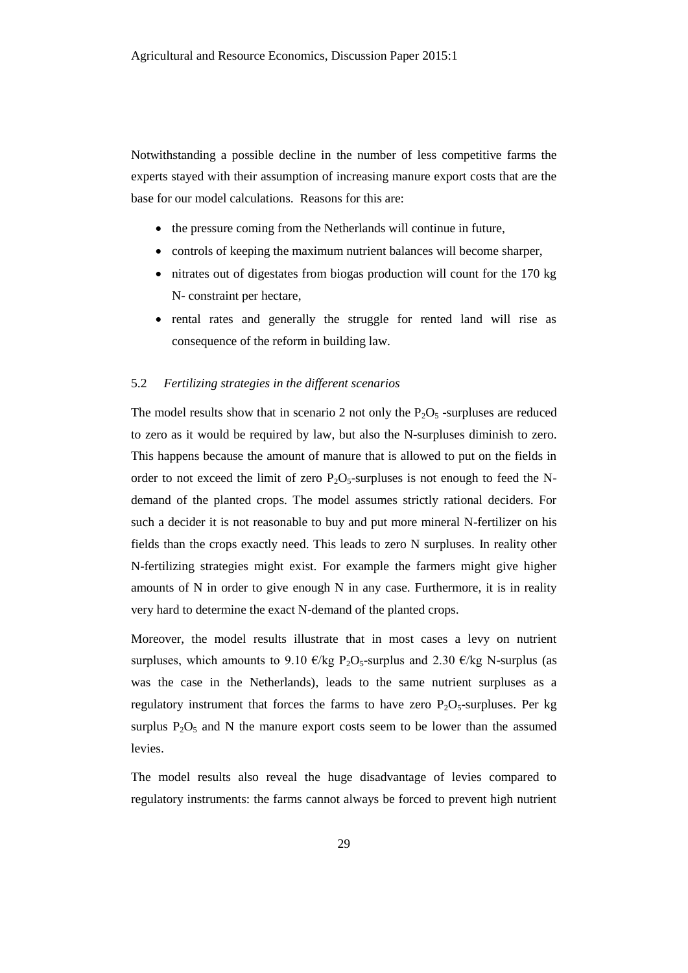Notwithstanding a possible decline in the number of less competitive farms the experts stayed with their assumption of increasing manure export costs that are the base for our model calculations. Reasons for this are:

- the pressure coming from the Netherlands will continue in future,
- controls of keeping the maximum nutrient balances will become sharper,
- nitrates out of digestates from biogas production will count for the 170 kg N- constraint per hectare,
- rental rates and generally the struggle for rented land will rise as consequence of the reform in building law.

### 5.2 *Fertilizing strategies in the different scenarios*

The model results show that in scenario 2 not only the  $P_2O_5$ -surpluses are reduced to zero as it would be required by law, but also the N-surpluses diminish to zero. This happens because the amount of manure that is allowed to put on the fields in order to not exceed the limit of zero  $P_2O_5$ -surpluses is not enough to feed the Ndemand of the planted crops. The model assumes strictly rational deciders. For such a decider it is not reasonable to buy and put more mineral N-fertilizer on his fields than the crops exactly need. This leads to zero N surpluses. In reality other N-fertilizing strategies might exist. For example the farmers might give higher amounts of N in order to give enough N in any case. Furthermore, it is in reality very hard to determine the exact N-demand of the planted crops.

Moreover, the model results illustrate that in most cases a levy on nutrient surpluses, which amounts to 9.10  $\epsilon$ /kg P<sub>2</sub>O<sub>5</sub>-surplus and 2.30  $\epsilon$ /kg N-surplus (as was the case in the Netherlands), leads to the same nutrient surpluses as a regulatory instrument that forces the farms to have zero  $P_2O_5$ -surpluses. Per kg surplus  $P_2O_5$  and N the manure export costs seem to be lower than the assumed levies.

The model results also reveal the huge disadvantage of levies compared to regulatory instruments: the farms cannot always be forced to prevent high nutrient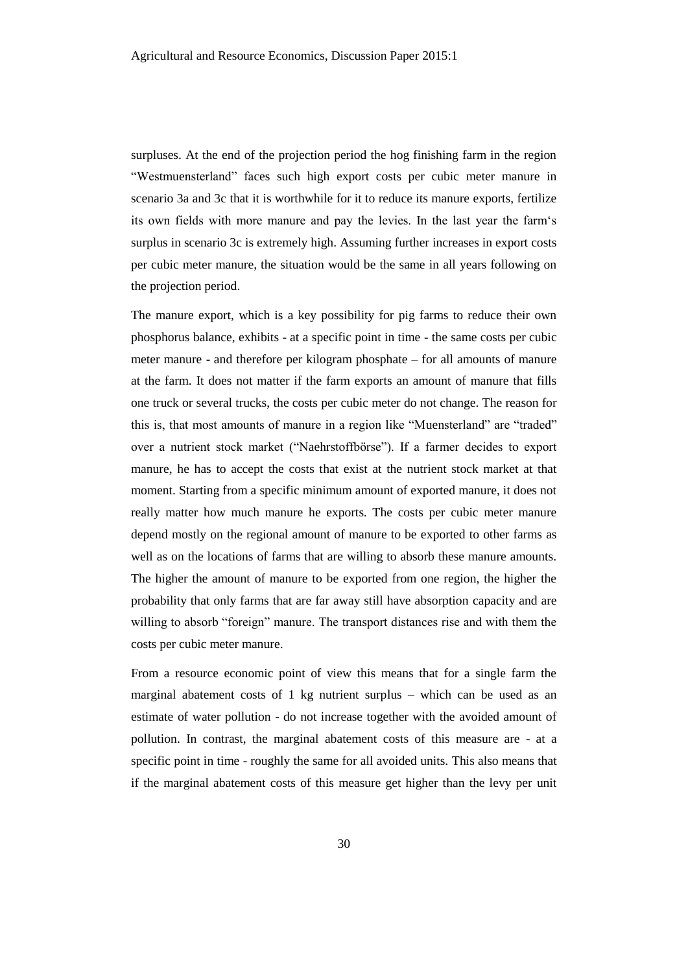surpluses. At the end of the projection period the hog finishing farm in the region "Westmuensterland" faces such high export costs per cubic meter manure in scenario 3a and 3c that it is worthwhile for it to reduce its manure exports, fertilize its own fields with more manure and pay the levies. In the last year the farm's surplus in scenario 3c is extremely high. Assuming further increases in export costs per cubic meter manure, the situation would be the same in all years following on the projection period.

The manure export, which is a key possibility for pig farms to reduce their own phosphorus balance, exhibits - at a specific point in time - the same costs per cubic meter manure - and therefore per kilogram phosphate – for all amounts of manure at the farm. It does not matter if the farm exports an amount of manure that fills one truck or several trucks, the costs per cubic meter do not change. The reason for this is, that most amounts of manure in a region like "Muensterland" are "traded" over a nutrient stock market ("Naehrstoffbörse"). If a farmer decides to export manure, he has to accept the costs that exist at the nutrient stock market at that moment. Starting from a specific minimum amount of exported manure, it does not really matter how much manure he exports. The costs per cubic meter manure depend mostly on the regional amount of manure to be exported to other farms as well as on the locations of farms that are willing to absorb these manure amounts. The higher the amount of manure to be exported from one region, the higher the probability that only farms that are far away still have absorption capacity and are willing to absorb "foreign" manure. The transport distances rise and with them the costs per cubic meter manure.

From a resource economic point of view this means that for a single farm the marginal abatement costs of 1 kg nutrient surplus – which can be used as an estimate of water pollution - do not increase together with the avoided amount of pollution. In contrast, the marginal abatement costs of this measure are - at a specific point in time - roughly the same for all avoided units. This also means that if the marginal abatement costs of this measure get higher than the levy per unit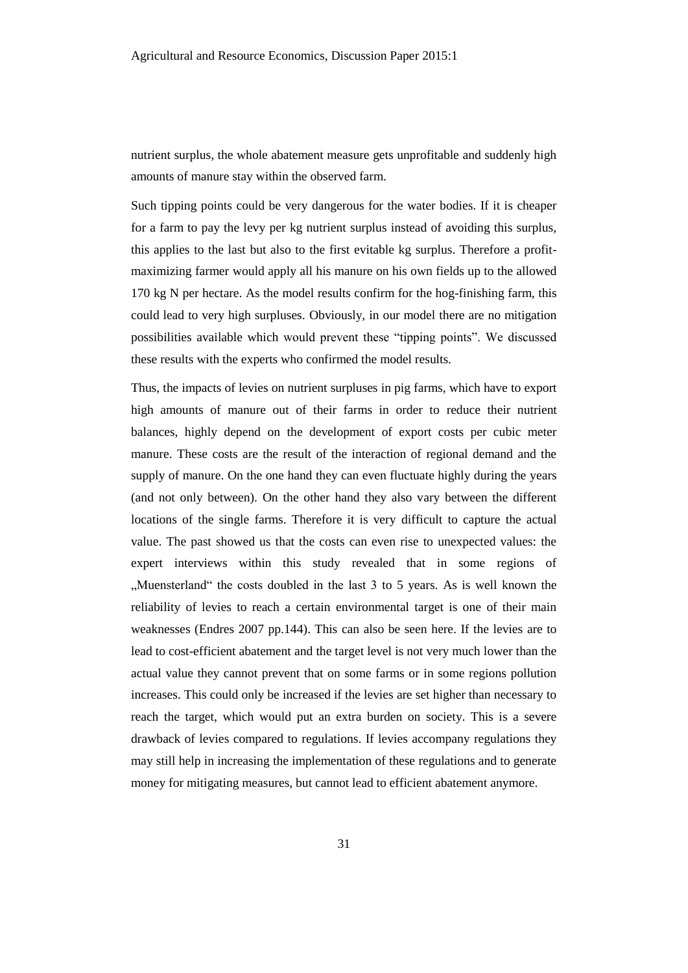nutrient surplus, the whole abatement measure gets unprofitable and suddenly high amounts of manure stay within the observed farm.

Such tipping points could be very dangerous for the water bodies. If it is cheaper for a farm to pay the levy per kg nutrient surplus instead of avoiding this surplus, this applies to the last but also to the first evitable kg surplus. Therefore a profitmaximizing farmer would apply all his manure on his own fields up to the allowed 170 kg N per hectare. As the model results confirm for the hog-finishing farm, this could lead to very high surpluses. Obviously, in our model there are no mitigation possibilities available which would prevent these "tipping points". We discussed these results with the experts who confirmed the model results.

Thus, the impacts of levies on nutrient surpluses in pig farms, which have to export high amounts of manure out of their farms in order to reduce their nutrient balances, highly depend on the development of export costs per cubic meter manure. These costs are the result of the interaction of regional demand and the supply of manure. On the one hand they can even fluctuate highly during the years (and not only between). On the other hand they also vary between the different locations of the single farms. Therefore it is very difficult to capture the actual value. The past showed us that the costs can even rise to unexpected values: the expert interviews within this study revealed that in some regions of "Muensterland" the costs doubled in the last 3 to 5 years. As is well known the reliability of levies to reach a certain environmental target is one of their main weaknesses (Endres 2007 pp.144). This can also be seen here. If the levies are to lead to cost-efficient abatement and the target level is not very much lower than the actual value they cannot prevent that on some farms or in some regions pollution increases. This could only be increased if the levies are set higher than necessary to reach the target, which would put an extra burden on society. This is a severe drawback of levies compared to regulations. If levies accompany regulations they may still help in increasing the implementation of these regulations and to generate money for mitigating measures, but cannot lead to efficient abatement anymore.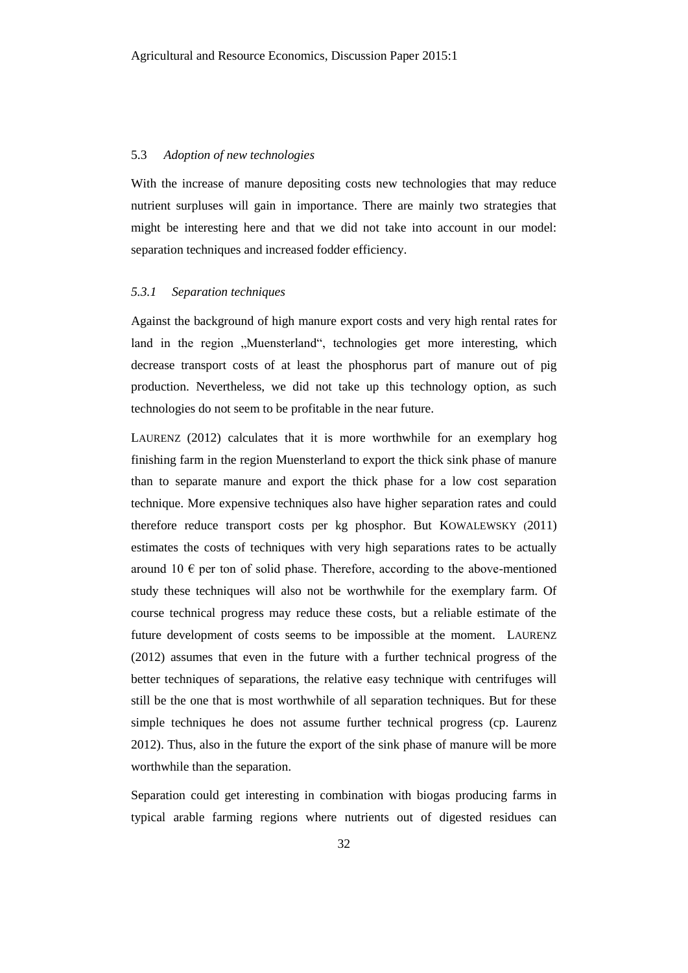#### 5.3 *Adoption of new technologies*

With the increase of manure depositing costs new technologies that may reduce nutrient surpluses will gain in importance. There are mainly two strategies that might be interesting here and that we did not take into account in our model: separation techniques and increased fodder efficiency.

# *5.3.1 Separation techniques*

Against the background of high manure export costs and very high rental rates for land in the region "Muensterland", technologies get more interesting, which decrease transport costs of at least the phosphorus part of manure out of pig production. Nevertheless, we did not take up this technology option, as such technologies do not seem to be profitable in the near future.

LAURENZ (2012) calculates that it is more worthwhile for an exemplary hog finishing farm in the region Muensterland to export the thick sink phase of manure than to separate manure and export the thick phase for a low cost separation technique. More expensive techniques also have higher separation rates and could therefore reduce transport costs per kg phosphor. But KOWALEWSKY (2011) estimates the costs of techniques with very high separations rates to be actually around 10  $\epsilon$  per ton of solid phase. Therefore, according to the above-mentioned study these techniques will also not be worthwhile for the exemplary farm. Of course technical progress may reduce these costs, but a reliable estimate of the future development of costs seems to be impossible at the moment. LAURENZ (2012) assumes that even in the future with a further technical progress of the better techniques of separations, the relative easy technique with centrifuges will still be the one that is most worthwhile of all separation techniques. But for these simple techniques he does not assume further technical progress (cp. Laurenz 2012). Thus, also in the future the export of the sink phase of manure will be more worthwhile than the separation.

Separation could get interesting in combination with biogas producing farms in typical arable farming regions where nutrients out of digested residues can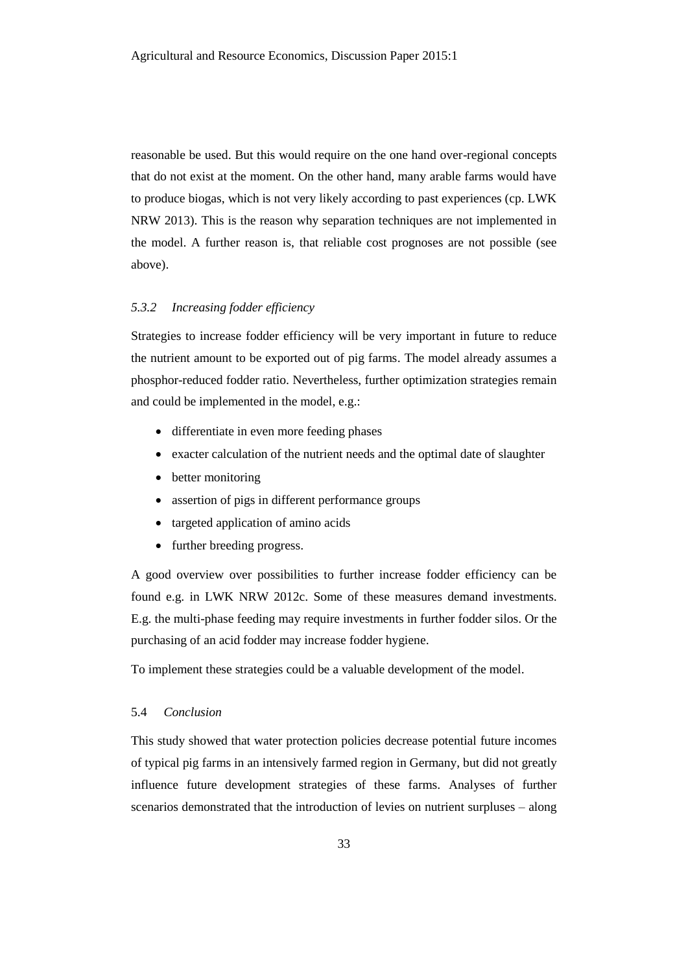reasonable be used. But this would require on the one hand over-regional concepts that do not exist at the moment. On the other hand, many arable farms would have to produce biogas, which is not very likely according to past experiences (cp. LWK NRW 2013). This is the reason why separation techniques are not implemented in the model. A further reason is, that reliable cost prognoses are not possible (see above).

#### *5.3.2 Increasing fodder efficiency*

Strategies to increase fodder efficiency will be very important in future to reduce the nutrient amount to be exported out of pig farms. The model already assumes a phosphor-reduced fodder ratio. Nevertheless, further optimization strategies remain and could be implemented in the model, e.g.:

- differentiate in even more feeding phases
- exacter calculation of the nutrient needs and the optimal date of slaughter
- better monitoring
- assertion of pigs in different performance groups
- targeted application of amino acids
- further breeding progress.

A good overview over possibilities to further increase fodder efficiency can be found e.g. in LWK NRW 2012c. Some of these measures demand investments. E.g. the multi-phase feeding may require investments in further fodder silos. Or the purchasing of an acid fodder may increase fodder hygiene.

To implement these strategies could be a valuable development of the model.

# 5.4 *Conclusion*

This study showed that water protection policies decrease potential future incomes of typical pig farms in an intensively farmed region in Germany, but did not greatly influence future development strategies of these farms. Analyses of further scenarios demonstrated that the introduction of levies on nutrient surpluses – along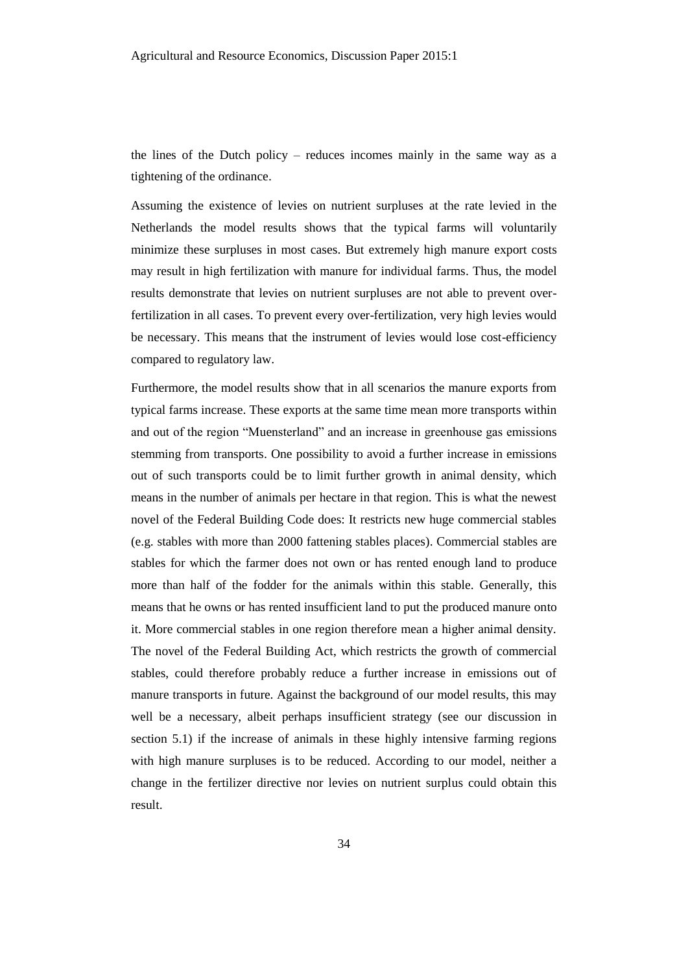the lines of the Dutch policy – reduces incomes mainly in the same way as a tightening of the ordinance.

Assuming the existence of levies on nutrient surpluses at the rate levied in the Netherlands the model results shows that the typical farms will voluntarily minimize these surpluses in most cases. But extremely high manure export costs may result in high fertilization with manure for individual farms. Thus, the model results demonstrate that levies on nutrient surpluses are not able to prevent overfertilization in all cases. To prevent every over-fertilization, very high levies would be necessary. This means that the instrument of levies would lose cost-efficiency compared to regulatory law.

Furthermore, the model results show that in all scenarios the manure exports from typical farms increase. These exports at the same time mean more transports within and out of the region "Muensterland" and an increase in greenhouse gas emissions stemming from transports. One possibility to avoid a further increase in emissions out of such transports could be to limit further growth in animal density, which means in the number of animals per hectare in that region. This is what the newest novel of the Federal Building Code does: It restricts new huge commercial stables (e.g. stables with more than 2000 fattening stables places). Commercial stables are stables for which the farmer does not own or has rented enough land to produce more than half of the fodder for the animals within this stable. Generally, this means that he owns or has rented insufficient land to put the produced manure onto it. More commercial stables in one region therefore mean a higher animal density. The novel of the Federal Building Act, which restricts the growth of commercial stables, could therefore probably reduce a further increase in emissions out of manure transports in future. Against the background of our model results, this may well be a necessary, albeit perhaps insufficient strategy (see our discussion in section 5.1) if the increase of animals in these highly intensive farming regions with high manure surpluses is to be reduced. According to our model, neither a change in the fertilizer directive nor levies on nutrient surplus could obtain this result.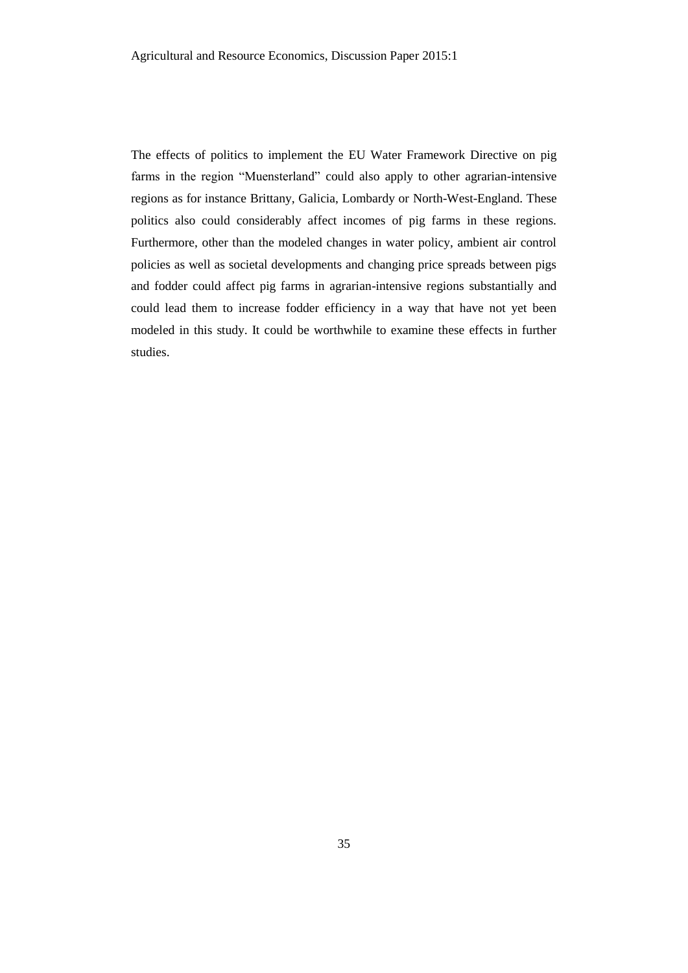The effects of politics to implement the EU Water Framework Directive on pig farms in the region "Muensterland" could also apply to other agrarian-intensive regions as for instance Brittany, Galicia, Lombardy or North-West-England. These politics also could considerably affect incomes of pig farms in these regions. Furthermore, other than the modeled changes in water policy, ambient air control policies as well as societal developments and changing price spreads between pigs and fodder could affect pig farms in agrarian-intensive regions substantially and could lead them to increase fodder efficiency in a way that have not yet been modeled in this study. It could be worthwhile to examine these effects in further studies.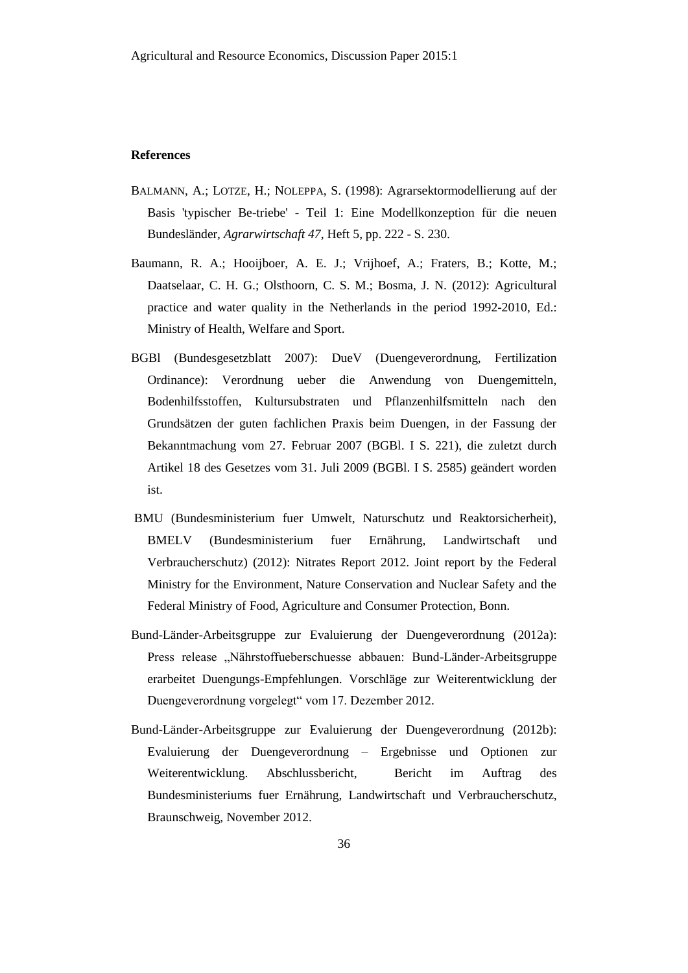#### **References**

- BALMANN, A.; LOTZE, H.; NOLEPPA, S. (1998): Agrarsektormodellierung auf der Basis 'typischer Be-triebe' - Teil 1: Eine Modellkonzeption für die neuen Bundesländer, *Agrarwirtschaft 47*, Heft 5, pp. 222 - S. 230.
- Baumann, R. A.; Hooijboer, A. E. J.; Vrijhoef, A.; Fraters, B.; Kotte, M.; Daatselaar, C. H. G.; Olsthoorn, C. S. M.; Bosma, J. N. (2012): Agricultural practice and water quality in the Netherlands in the period 1992-2010, Ed.: Ministry of Health, Welfare and Sport.
- BGBl (Bundesgesetzblatt 2007): DueV (Duengeverordnung, Fertilization Ordinance): Verordnung ueber die Anwendung von Duengemitteln, Bodenhilfsstoffen, Kultursubstraten und Pflanzenhilfsmitteln nach den Grundsätzen der guten fachlichen Praxis beim Duengen, in der Fassung der Bekanntmachung vom 27. Februar 2007 (BGBl. I S. 221), die zuletzt durch Artikel 18 des Gesetzes vom 31. Juli 2009 (BGBl. I S. 2585) geändert worden ist.
- BMU (Bundesministerium fuer Umwelt, Naturschutz und Reaktorsicherheit), BMELV (Bundesministerium fuer Ernährung, Landwirtschaft und Verbraucherschutz) (2012): Nitrates Report 2012. Joint report by the Federal Ministry for the Environment, Nature Conservation and Nuclear Safety and the Federal Ministry of Food, Agriculture and Consumer Protection, Bonn.
- Bund-Länder-Arbeitsgruppe zur Evaluierung der Duengeverordnung (2012a): Press release "Nährstoffueberschuesse abbauen: Bund-Länder-Arbeitsgruppe erarbeitet Duengungs-Empfehlungen. Vorschläge zur Weiterentwicklung der Duengeverordnung vorgelegt" vom 17. Dezember 2012.
- Bund-Länder-Arbeitsgruppe zur Evaluierung der Duengeverordnung (2012b): Evaluierung der Duengeverordnung – Ergebnisse und Optionen zur Weiterentwicklung. Abschlussbericht, Bericht im Auftrag des Bundesministeriums fuer Ernährung, Landwirtschaft und Verbraucherschutz, Braunschweig, November 2012.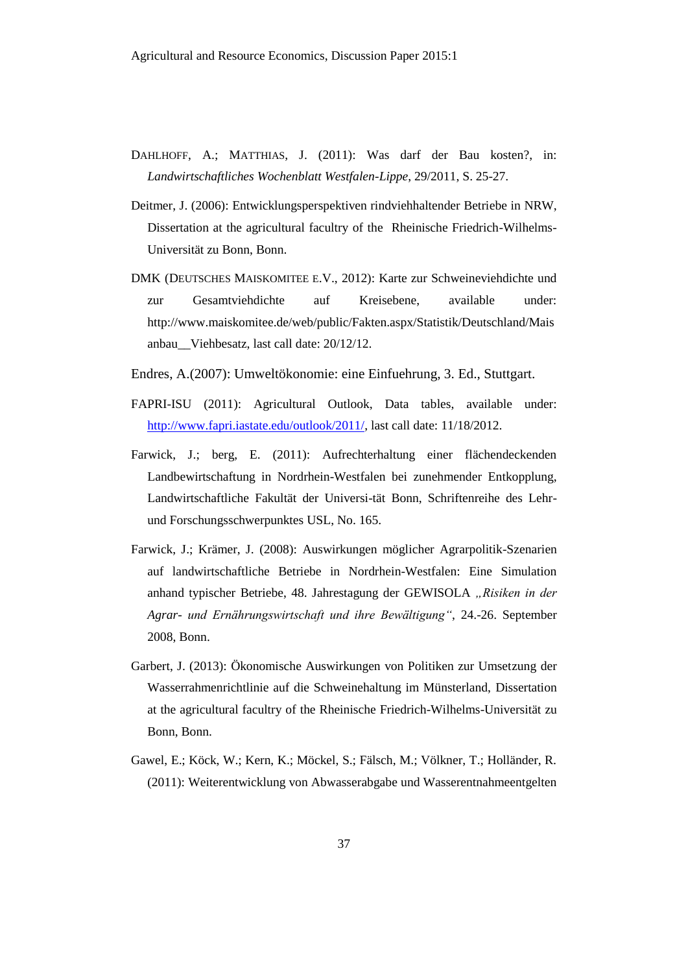- DAHLHOFF, A.; MATTHIAS, J. (2011): Was darf der Bau kosten?, in: *Landwirtschaftliches Wochenblatt Westfalen-Lippe*, 29/2011, S. 25-27.
- Deitmer, J. (2006): Entwicklungsperspektiven rindviehhaltender Betriebe in NRW, Dissertation at the agricultural facultry of the Rheinische Friedrich-Wilhelms-Universität zu Bonn, Bonn.
- DMK (DEUTSCHES MAISKOMITEE E.V., 2012): Karte zur Schweineviehdichte und zur Gesamtviehdichte auf Kreisebene, available under: http://www.maiskomitee.de/web/public/Fakten.aspx/Statistik/Deutschland/Mais anbau\_\_Viehbesatz, last call date: 20/12/12.
- Endres, A.(2007): Umweltökonomie: eine Einfuehrung, 3. Ed., Stuttgart.
- FAPRI-ISU (2011): Agricultural Outlook, Data tables, available under: [http://www.fapri.iastate.edu/outlook/2011/,](http://www.fapri.iastate.edu/outlook/2011/) last call date: 11/18/2012.
- Farwick, J.; berg, E. (2011): Aufrechterhaltung einer flächendeckenden Landbewirtschaftung in Nordrhein-Westfalen bei zunehmender Entkopplung, Landwirtschaftliche Fakultät der Universi-tät Bonn, Schriftenreihe des Lehrund Forschungsschwerpunktes USL, No. 165.
- Farwick, J.; Krämer, J. (2008): Auswirkungen möglicher Agrarpolitik-Szenarien auf landwirtschaftliche Betriebe in Nordrhein-Westfalen: Eine Simulation anhand typischer Betriebe, 48. Jahrestagung der GEWISOLA *"Risiken in der Agrar- und Ernährungswirtschaft und ihre Bewältigung"*, 24.-26. September 2008, Bonn.
- Garbert, J. (2013): Ökonomische Auswirkungen von Politiken zur Umsetzung der Wasserrahmenrichtlinie auf die Schweinehaltung im Münsterland, Dissertation at the agricultural facultry of the Rheinische Friedrich-Wilhelms-Universität zu Bonn, Bonn.
- Gawel, E.; Köck, W.; Kern, K.; Möckel, S.; Fälsch, M.; Völkner, T.; Holländer, R. (2011): Weiterentwicklung von Abwasserabgabe und Wasserentnahmeentgelten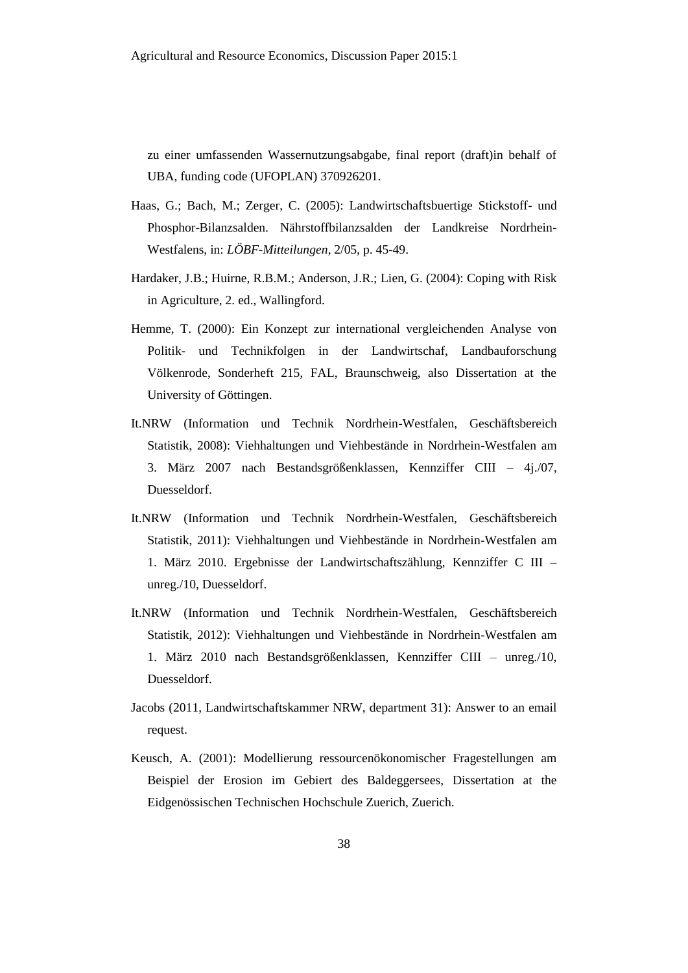zu einer umfassenden Wassernutzungsabgabe, final report (draft)in behalf of UBA, funding code (UFOPLAN) 370926201.

- Haas, G.; Bach, M.; Zerger, C. (2005): Landwirtschaftsbuertige Stickstoff- und Phosphor-Bilanzsalden. Nährstoffbilanzsalden der Landkreise Nordrhein-Westfalens, in: *LÖBF-Mitteilungen*, 2/05, p. 45-49.
- Hardaker, J.B.; Huirne, R.B.M.; Anderson, J.R.; Lien, G. (2004): Coping with Risk in Agriculture, 2. ed., Wallingford.
- Hemme, T. (2000): Ein Konzept zur international vergleichenden Analyse von Politik- und Technikfolgen in der Landwirtschaf, Landbauforschung Völkenrode, Sonderheft 215, FAL, Braunschweig, also Dissertation at the University of Göttingen.
- It.NRW (Information und Technik Nordrhein-Westfalen, Geschäftsbereich Statistik, 2008): Viehhaltungen und Viehbestände in Nordrhein-Westfalen am 3. März 2007 nach Bestandsgrößenklassen, Kennziffer CIII – 4j./07, Duesseldorf.
- It.NRW (Information und Technik Nordrhein-Westfalen, Geschäftsbereich Statistik, 2011): Viehhaltungen und Viehbestände in Nordrhein-Westfalen am 1. März 2010. Ergebnisse der Landwirtschaftszählung, Kennziffer C III – unreg./10, Duesseldorf.
- It.NRW (Information und Technik Nordrhein-Westfalen, Geschäftsbereich Statistik, 2012): Viehhaltungen und Viehbestände in Nordrhein-Westfalen am 1. März 2010 nach Bestandsgrößenklassen, Kennziffer CIII – unreg./10, Duesseldorf.
- Jacobs (2011, Landwirtschaftskammer NRW, department 31): Answer to an email request.
- Keusch, A. (2001): Modellierung ressourcenökonomischer Fragestellungen am Beispiel der Erosion im Gebiert des Baldeggersees, Dissertation at the Eidgenössischen Technischen Hochschule Zuerich, Zuerich.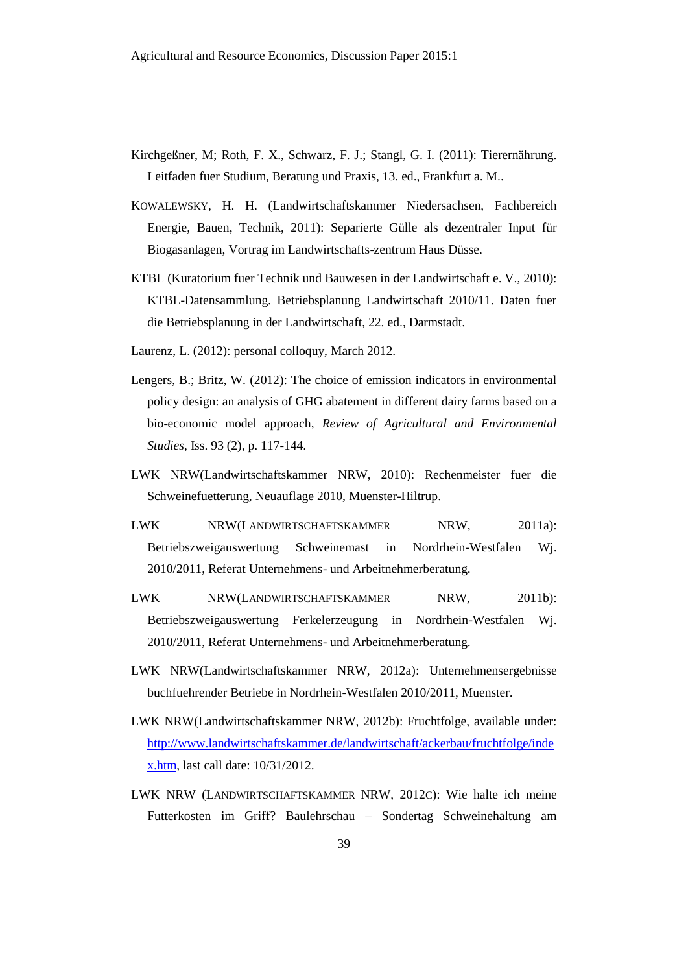- Kirchgeßner, M; Roth, F. X., Schwarz, F. J.; Stangl, G. I. (2011): Tierernährung. Leitfaden fuer Studium, Beratung und Praxis, 13. ed., Frankfurt a. M..
- KOWALEWSKY, H. H. (Landwirtschaftskammer Niedersachsen, Fachbereich Energie, Bauen, Technik, 2011): Separierte Gülle als dezentraler Input für Biogasanlagen, Vortrag im Landwirtschafts-zentrum Haus Düsse.
- KTBL (Kuratorium fuer Technik und Bauwesen in der Landwirtschaft e. V., 2010): KTBL-Datensammlung. Betriebsplanung Landwirtschaft 2010/11. Daten fuer die Betriebsplanung in der Landwirtschaft, 22. ed., Darmstadt.
- Laurenz, L. (2012): personal colloquy, March 2012.
- Lengers, B.; Britz, W. (2012): The choice of emission indicators in environmental policy design: an analysis of GHG abatement in different dairy farms based on a bio-economic model approach, *Review of Agricultural and Environmental Studies*, Iss. 93 (2), p. 117-144.
- LWK NRW(Landwirtschaftskammer NRW, 2010): Rechenmeister fuer die Schweinefuetterung, Neuauflage 2010, Muenster-Hiltrup.
- LWK NRW(LANDWIRTSCHAFTSKAMMER NRW, 2011a): Betriebszweigauswertung Schweinemast in Nordrhein-Westfalen Wj. 2010/2011, Referat Unternehmens- und Arbeitnehmerberatung.
- LWK NRW(LANDWIRTSCHAFTSKAMMER NRW, 2011b): Betriebszweigauswertung Ferkelerzeugung in Nordrhein-Westfalen Wj. 2010/2011, Referat Unternehmens- und Arbeitnehmerberatung.
- LWK NRW(Landwirtschaftskammer NRW, 2012a): Unternehmensergebnisse buchfuehrender Betriebe in Nordrhein-Westfalen 2010/2011, Muenster.
- LWK NRW(Landwirtschaftskammer NRW, 2012b): Fruchtfolge, available under: [http://www.landwirtschaftskammer.de/landwirtschaft/ackerbau/fruchtfolge/inde](http://www.landwirtschaftskammer.de/landwirtschaft/ackerbau/fruchtfolge/index.htm) [x.htm,](http://www.landwirtschaftskammer.de/landwirtschaft/ackerbau/fruchtfolge/index.htm) last call date: 10/31/2012.
- LWK NRW (LANDWIRTSCHAFTSKAMMER NRW, 2012C): Wie halte ich meine Futterkosten im Griff? Baulehrschau – Sondertag Schweinehaltung am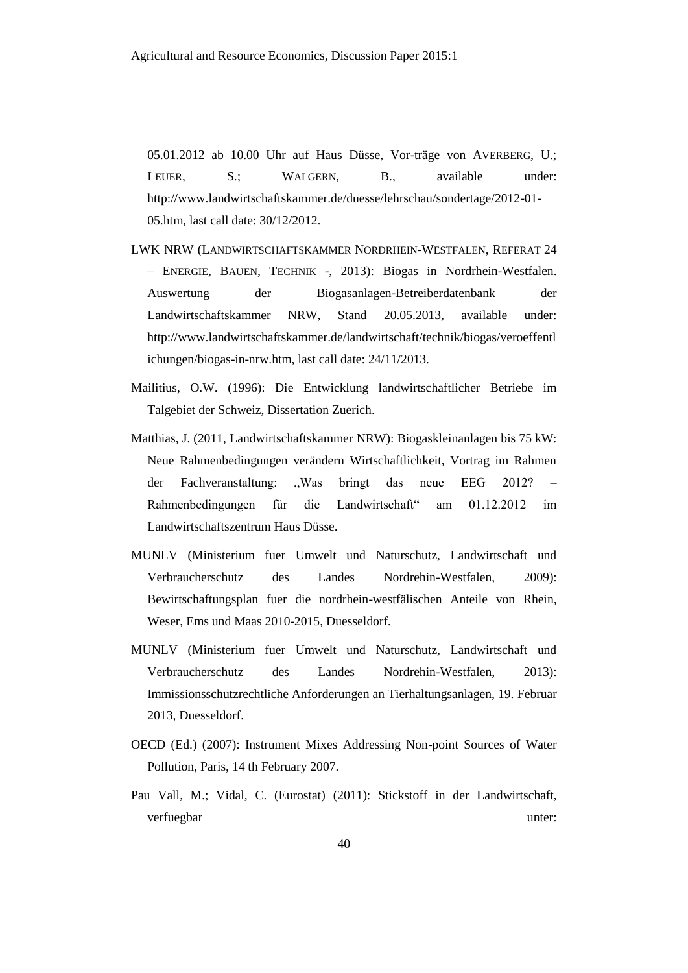05.01.2012 ab 10.00 Uhr auf Haus Düsse, Vor-träge von AVERBERG, U.; LEUER, S.; WALGERN, B., available under: http://www.landwirtschaftskammer.de/duesse/lehrschau/sondertage/2012-01- 05.htm, last call date: 30/12/2012.

- LWK NRW (LANDWIRTSCHAFTSKAMMER NORDRHEIN-WESTFALEN, REFERAT 24 – ENERGIE, BAUEN, TECHNIK -, 2013): Biogas in Nordrhein-Westfalen. Auswertung der Biogasanlagen-Betreiberdatenbank der Landwirtschaftskammer NRW, Stand 20.05.2013, available under: http://www.landwirtschaftskammer.de/landwirtschaft/technik/biogas/veroeffentl ichungen/biogas-in-nrw.htm, last call date: 24/11/2013.
- Mailitius, O.W. (1996): Die Entwicklung landwirtschaftlicher Betriebe im Talgebiet der Schweiz, Dissertation Zuerich.
- Matthias, J. (2011, Landwirtschaftskammer NRW): Biogaskleinanlagen bis 75 kW: Neue Rahmenbedingungen verändern Wirtschaftlichkeit, Vortrag im Rahmen der Fachveranstaltung: "Was bringt das neue EEG 2012? – Rahmenbedingungen für die Landwirtschaft" am 01.12.2012 im Landwirtschaftszentrum Haus Düsse.
- MUNLV (Ministerium fuer Umwelt und Naturschutz, Landwirtschaft und Verbraucherschutz des Landes Nordrehin-Westfalen, 2009): Bewirtschaftungsplan fuer die nordrhein-westfälischen Anteile von Rhein, Weser, Ems und Maas 2010-2015, Duesseldorf.
- MUNLV (Ministerium fuer Umwelt und Naturschutz, Landwirtschaft und Verbraucherschutz des Landes Nordrehin-Westfalen, 2013): Immissionsschutzrechtliche Anforderungen an Tierhaltungsanlagen, 19. Februar 2013, Duesseldorf.
- OECD (Ed.) (2007): Instrument Mixes Addressing Non-point Sources of Water Pollution, Paris, 14 th February 2007.
- Pau Vall, M.; Vidal, C. (Eurostat) (2011): Stickstoff in der Landwirtschaft, verfuegbar unter: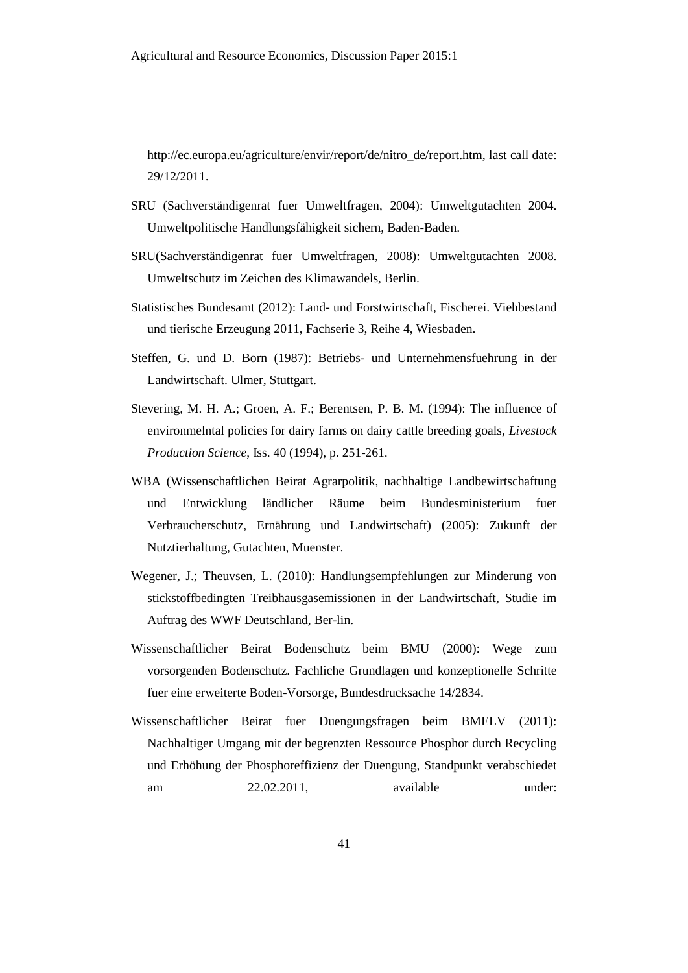[http://ec.europa.eu/agriculture/envir/report/de/nitro\\_de/report.htm,](http://ec.europa.eu/agriculture/envir/report/de/nitro_de/report.htm) last call date: 29/12/2011.

- SRU (Sachverständigenrat fuer Umweltfragen, 2004): Umweltgutachten 2004. Umweltpolitische Handlungsfähigkeit sichern, Baden-Baden.
- SRU(Sachverständigenrat fuer Umweltfragen, 2008): Umweltgutachten 2008. Umweltschutz im Zeichen des Klimawandels, Berlin.
- Statistisches Bundesamt (2012): Land- und Forstwirtschaft, Fischerei. Viehbestand und tierische Erzeugung 2011, Fachserie 3, Reihe 4, Wiesbaden.
- Steffen, G. und D. Born (1987): Betriebs- und Unternehmensfuehrung in der Landwirtschaft. Ulmer, Stuttgart.
- Stevering, M. H. A.; Groen, A. F.; Berentsen, P. B. M. (1994): The influence of environmelntal policies for dairy farms on dairy cattle breeding goals, *Livestock Production Science*, Iss. 40 (1994), p. 251-261.
- WBA (Wissenschaftlichen Beirat Agrarpolitik, nachhaltige Landbewirtschaftung und Entwicklung ländlicher Räume beim Bundesministerium fuer Verbraucherschutz, Ernährung und Landwirtschaft) (2005): Zukunft der Nutztierhaltung, Gutachten, Muenster.
- Wegener, J.; Theuvsen, L. (2010): Handlungsempfehlungen zur Minderung von stickstoffbedingten Treibhausgasemissionen in der Landwirtschaft, Studie im Auftrag des WWF Deutschland, Ber-lin.
- Wissenschaftlicher Beirat Bodenschutz beim BMU (2000): Wege zum vorsorgenden Bodenschutz. Fachliche Grundlagen und konzeptionelle Schritte fuer eine erweiterte Boden-Vorsorge, Bundesdrucksache 14/2834.
- Wissenschaftlicher Beirat fuer Duengungsfragen beim BMELV (2011): Nachhaltiger Umgang mit der begrenzten Ressource Phosphor durch Recycling und Erhöhung der Phosphoreffizienz der Duengung, Standpunkt verabschiedet am 22.02.2011, available under: